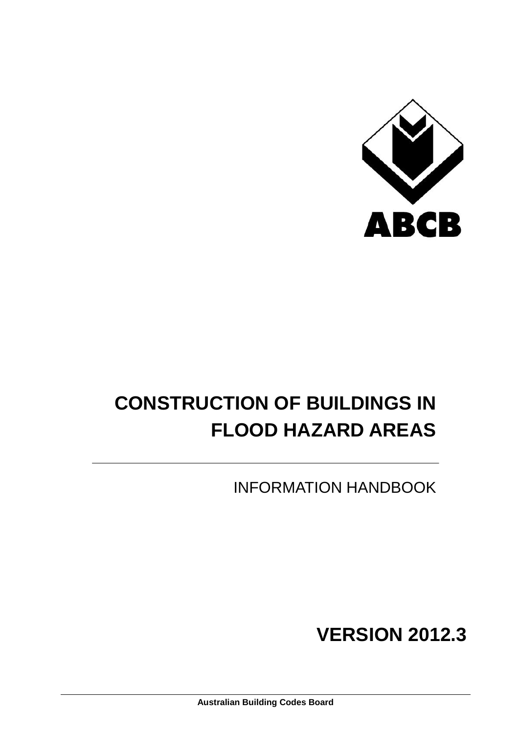

# **CONSTRUCTION OF BUILDINGS IN FLOOD HAZARD AREAS**

INFORMATION HANDBOOK

**VERSION 2012.3**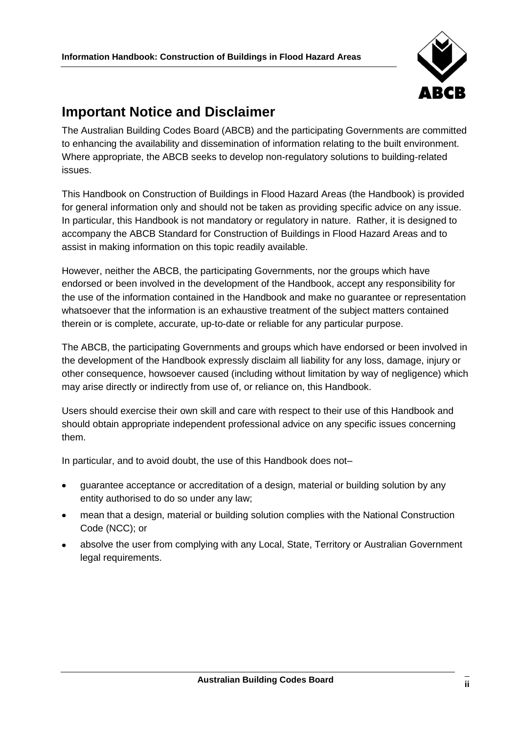

## <span id="page-1-0"></span>**Important Notice and Disclaimer**

The Australian Building Codes Board (ABCB) and the participating Governments are committed to enhancing the availability and dissemination of information relating to the built environment. Where appropriate, the ABCB seeks to develop non-regulatory solutions to building-related issues.

This Handbook on Construction of Buildings in Flood Hazard Areas (the Handbook) is provided for general information only and should not be taken as providing specific advice on any issue. In particular, this Handbook is not mandatory or regulatory in nature. Rather, it is designed to accompany the ABCB Standard for Construction of Buildings in Flood Hazard Areas and to assist in making information on this topic readily available.

However, neither the ABCB, the participating Governments, nor the groups which have endorsed or been involved in the development of the Handbook, accept any responsibility for the use of the information contained in the Handbook and make no guarantee or representation whatsoever that the information is an exhaustive treatment of the subject matters contained therein or is complete, accurate, up-to-date or reliable for any particular purpose.

The ABCB, the participating Governments and groups which have endorsed or been involved in the development of the Handbook expressly disclaim all liability for any loss, damage, injury or other consequence, howsoever caused (including without limitation by way of negligence) which may arise directly or indirectly from use of, or reliance on, this Handbook.

Users should exercise their own skill and care with respect to their use of this Handbook and should obtain appropriate independent professional advice on any specific issues concerning them.

In particular, and to avoid doubt, the use of this Handbook does not–

- guarantee acceptance or accreditation of a design, material or building solution by any entity authorised to do so under any law;
- mean that a design, material or building solution complies with the National Construction  $\bullet$ Code (NCC); or
- absolve the user from complying with any Local, State, Territory or Australian Government legal requirements.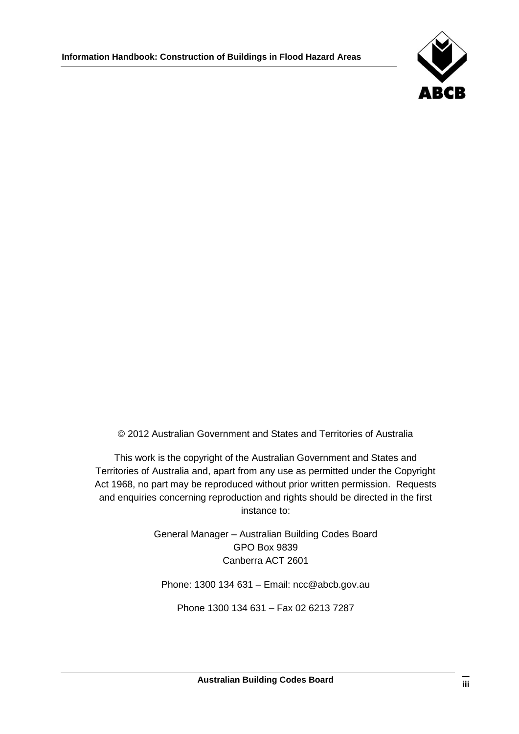

© 2012 Australian Government and States and Territories of Australia

This work is the copyright of the Australian Government and States and Territories of Australia and, apart from any use as permitted under the Copyright Act 1968, no part may be reproduced without prior written permission. Requests and enquiries concerning reproduction and rights should be directed in the first instance to:

> General Manager – Australian Building Codes Board GPO Box 9839 Canberra ACT 2601

Phone: 1300 134 631 – Email: ncc@abcb.gov.au

Phone 1300 134 631 – Fax 02 6213 7287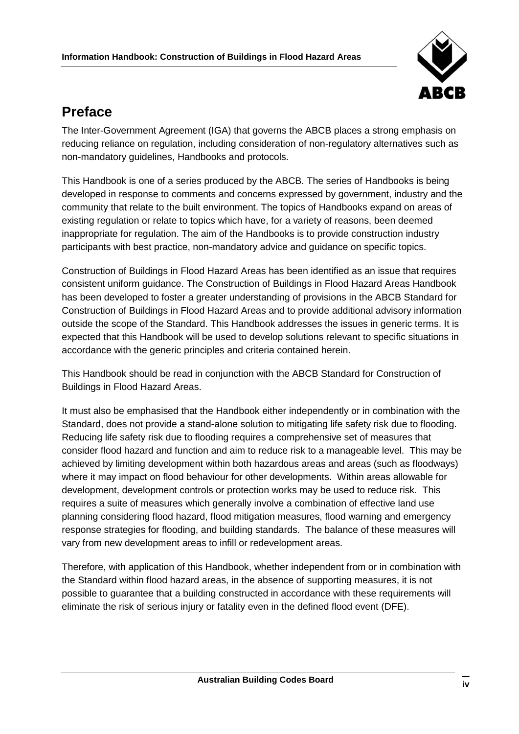

## <span id="page-3-0"></span>**Preface**

The Inter-Government Agreement (IGA) that governs the ABCB places a strong emphasis on reducing reliance on regulation, including consideration of non-regulatory alternatives such as non-mandatory guidelines, Handbooks and protocols.

This Handbook is one of a series produced by the ABCB. The series of Handbooks is being developed in response to comments and concerns expressed by government, industry and the community that relate to the built environment. The topics of Handbooks expand on areas of existing regulation or relate to topics which have, for a variety of reasons, been deemed inappropriate for regulation. The aim of the Handbooks is to provide construction industry participants with best practice, non-mandatory advice and guidance on specific topics.

Construction of Buildings in Flood Hazard Areas has been identified as an issue that requires consistent uniform guidance. The Construction of Buildings in Flood Hazard Areas Handbook has been developed to foster a greater understanding of provisions in the ABCB Standard for Construction of Buildings in Flood Hazard Areas and to provide additional advisory information outside the scope of the Standard. This Handbook addresses the issues in generic terms. It is expected that this Handbook will be used to develop solutions relevant to specific situations in accordance with the generic principles and criteria contained herein.

This Handbook should be read in conjunction with the ABCB Standard for Construction of Buildings in Flood Hazard Areas.

It must also be emphasised that the Handbook either independently or in combination with the Standard, does not provide a stand-alone solution to mitigating life safety risk due to flooding. Reducing life safety risk due to flooding requires a comprehensive set of measures that consider flood hazard and function and aim to reduce risk to a manageable level. This may be achieved by limiting development within both hazardous areas and areas (such as floodways) where it may impact on flood behaviour for other developments. Within areas allowable for development, development controls or protection works may be used to reduce risk. This requires a suite of measures which generally involve a combination of effective land use planning considering flood hazard, flood mitigation measures, flood warning and emergency response strategies for flooding, and building standards. The balance of these measures will vary from new development areas to infill or redevelopment areas.

Therefore, with application of this Handbook, whether independent from or in combination with the Standard within flood hazard areas, in the absence of supporting measures, it is not possible to guarantee that a building constructed in accordance with these requirements will eliminate the risk of serious injury or fatality even in the defined flood event (DFE).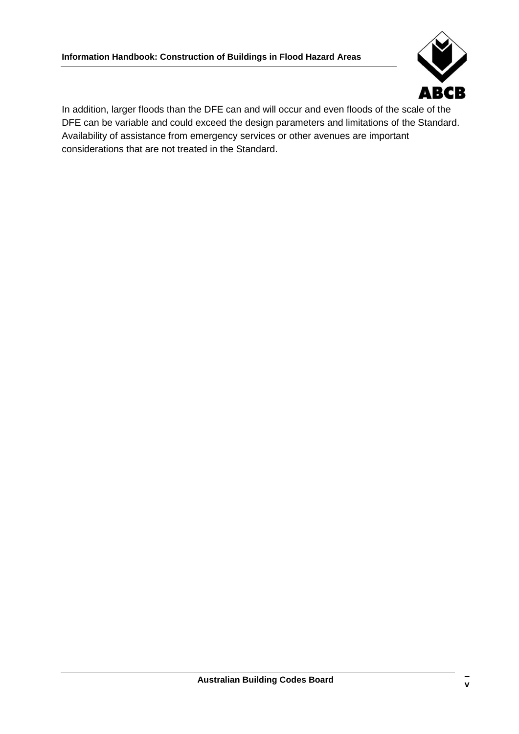

In addition, larger floods than the DFE can and will occur and even floods of the scale of the DFE can be variable and could exceed the design parameters and limitations of the Standard. Availability of assistance from emergency services or other avenues are important considerations that are not treated in the Standard.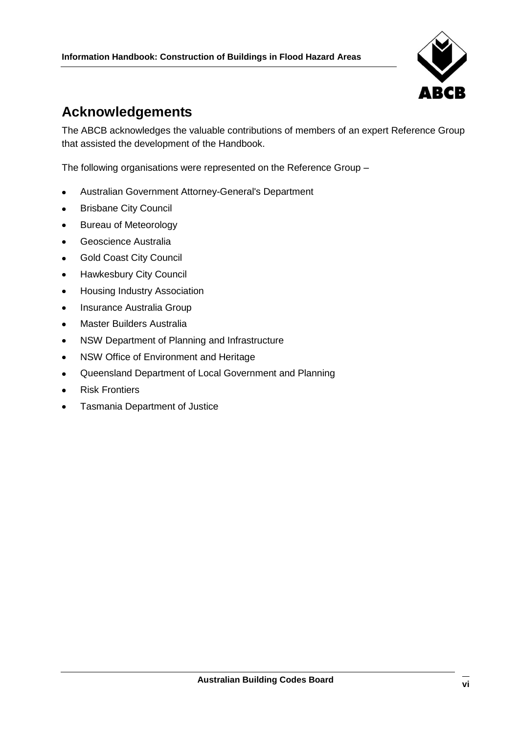

## <span id="page-5-0"></span>**Acknowledgements**

The ABCB acknowledges the valuable contributions of members of an expert Reference Group that assisted the development of the Handbook.

The following organisations were represented on the Reference Group –

- Australian Government Attorney-General's Department  $\bullet$
- Brisbane City Council  $\bullet$
- Bureau of Meteorology  $\bullet$
- Geoscience Australia  $\bullet$
- Gold Coast City Council  $\bullet$
- Hawkesbury City Council  $\bullet$
- Housing Industry Association  $\bullet$
- Insurance Australia Group  $\bullet$
- Master Builders Australia  $\bullet$
- NSW Department of Planning and Infrastructure  $\bullet$
- $\bullet$ NSW Office of Environment and Heritage
- Queensland Department of Local Government and Planning  $\bullet$
- Risk Frontiers  $\bullet$
- Tasmania Department of Justice $\bullet$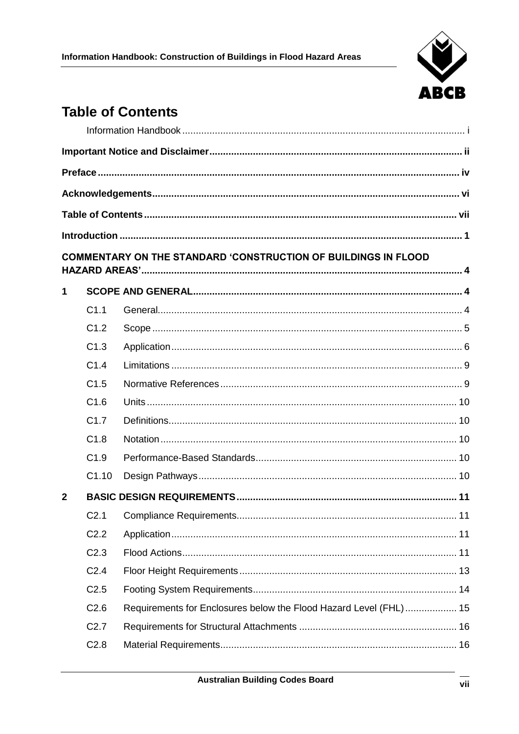

## <span id="page-6-0"></span>**Table of Contents**

|                |                  | COMMENTARY ON THE STANDARD 'CONSTRUCTION OF BUILDINGS IN FLOOD    |  |
|----------------|------------------|-------------------------------------------------------------------|--|
|                |                  |                                                                   |  |
| $\mathbf 1$    |                  |                                                                   |  |
|                | C1.1             |                                                                   |  |
|                | C1.2             |                                                                   |  |
|                | C1.3             |                                                                   |  |
|                | C1.4             |                                                                   |  |
|                | C1.5             |                                                                   |  |
|                | C1.6             |                                                                   |  |
|                | C1.7             |                                                                   |  |
|                | C1.8             |                                                                   |  |
|                | C1.9             |                                                                   |  |
|                | C1.10            |                                                                   |  |
| $\overline{2}$ |                  |                                                                   |  |
|                |                  |                                                                   |  |
|                | C <sub>2.2</sub> |                                                                   |  |
|                | C <sub>2.3</sub> |                                                                   |  |
|                | C <sub>2.4</sub> |                                                                   |  |
|                | C <sub>2.5</sub> |                                                                   |  |
|                | C <sub>2.6</sub> | Requirements for Enclosures below the Flood Hazard Level (FHL) 15 |  |
|                | C <sub>2.7</sub> |                                                                   |  |
|                | C <sub>2.8</sub> |                                                                   |  |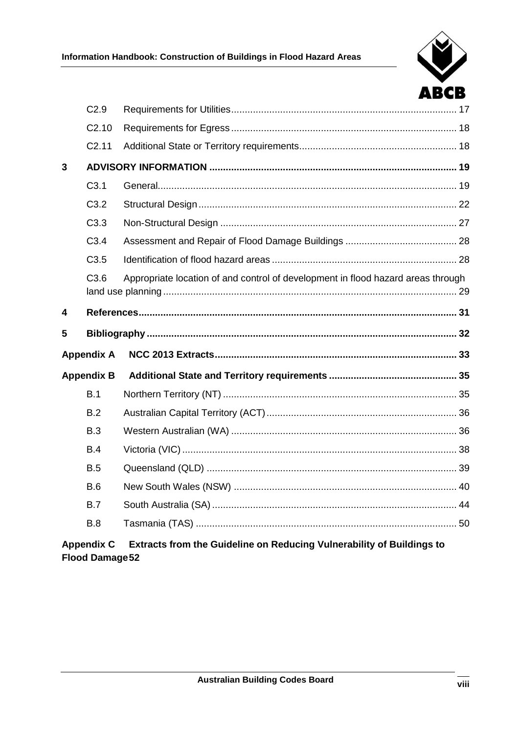|   | C <sub>2.9</sub>  |                                                                                  |  |
|---|-------------------|----------------------------------------------------------------------------------|--|
|   | C <sub>2.10</sub> |                                                                                  |  |
|   | C <sub>2.11</sub> |                                                                                  |  |
| 3 |                   |                                                                                  |  |
|   | C3.1              |                                                                                  |  |
|   | C <sub>3.2</sub>  |                                                                                  |  |
|   | C3.3              |                                                                                  |  |
|   | C3.4              |                                                                                  |  |
|   | C3.5              |                                                                                  |  |
|   | C3.6              | Appropriate location of and control of development in flood hazard areas through |  |
| 4 |                   |                                                                                  |  |
| 5 |                   |                                                                                  |  |
|   | <b>Appendix A</b> |                                                                                  |  |
|   | <b>Appendix B</b> |                                                                                  |  |
|   | B.1               |                                                                                  |  |
|   | B.2               |                                                                                  |  |
|   | B.3               |                                                                                  |  |
|   | B.4               |                                                                                  |  |
|   | B.5               |                                                                                  |  |
|   | B.6               |                                                                                  |  |
|   | B.7               |                                                                                  |  |
|   | B.8               |                                                                                  |  |
|   |                   |                                                                                  |  |

#### Extracts from the Guideline on Reducing Vulnerability of Buildings to **Appendix C Flood Damage 52**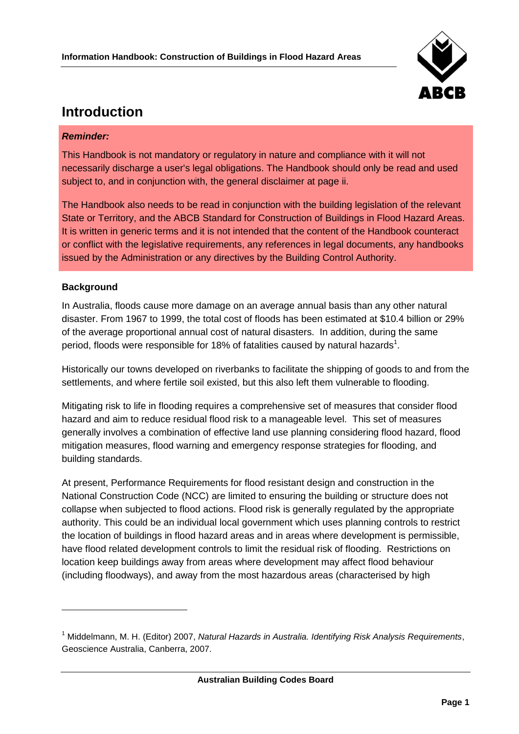

## <span id="page-8-0"></span>**Introduction**

#### *Reminder:*

This Handbook is not mandatory or regulatory in nature and compliance with it will not necessarily discharge a user's legal obligations. The Handbook should only be read and used subject to, and in conjunction with, the general disclaimer at page [ii.](#page-1-0)

The Handbook also needs to be read in conjunction with the building legislation of the relevant State or Territory, and the ABCB Standard for Construction of Buildings in Flood Hazard Areas. It is written in generic terms and it is not intended that the content of the Handbook counteract or conflict with the legislative requirements, any references in legal documents, any handbooks issued by the Administration or any directives by the Building Control Authority.

#### **Background**

 $\overline{a}$ 

In Australia, floods cause more damage on an average annual basis than any other natural disaster. From 1967 to 1999, the total cost of floods has been estimated at \$10.4 billion or 29% of the average proportional annual cost of natural disasters. In addition, during the same period, floods were responsible for 18% of fatalities caused by natural hazards<sup>1</sup>.

Historically our towns developed on riverbanks to facilitate the shipping of goods to and from the settlements, and where fertile soil existed, but this also left them vulnerable to flooding.

Mitigating risk to life in flooding requires a comprehensive set of measures that consider flood hazard and aim to reduce residual flood risk to a manageable level. This set of measures generally involves a combination of effective land use planning considering flood hazard, flood mitigation measures, flood warning and emergency response strategies for flooding, and building standards.

At present, Performance Requirements for flood resistant design and construction in the National Construction Code (NCC) are limited to ensuring the building or structure does not collapse when subjected to flood actions. Flood risk is generally regulated by the appropriate authority. This could be an individual local government which uses planning controls to restrict the location of buildings in flood hazard areas and in areas where development is permissible, have flood related development controls to limit the residual risk of flooding. Restrictions on location keep buildings away from areas where development may affect flood behaviour (including floodways), and away from the most hazardous areas (characterised by high

<sup>1</sup> Middelmann, M. H. (Editor) 2007, *Natural Hazards in Australia. Identifying Risk Analysis Requirements*, Geoscience Australia, Canberra, 2007.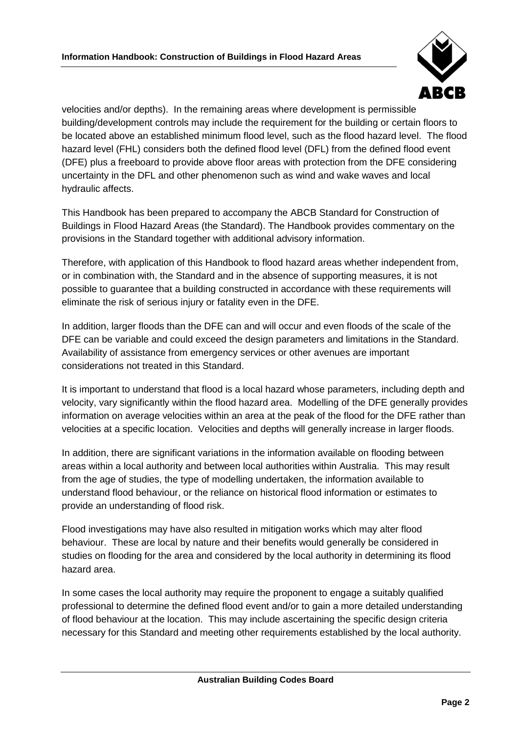

velocities and/or depths). In the remaining areas where development is permissible building/development controls may include the requirement for the building or certain floors to be located above an established minimum flood level, such as the flood hazard level. The flood hazard level (FHL) considers both the defined flood level (DFL) from the defined flood event (DFE) plus a freeboard to provide above floor areas with protection from the DFE considering uncertainty in the DFL and other phenomenon such as wind and wake waves and local hydraulic affects.

This Handbook has been prepared to accompany the ABCB Standard for Construction of Buildings in Flood Hazard Areas (the Standard). The Handbook provides commentary on the provisions in the Standard together with additional advisory information.

Therefore, with application of this Handbook to flood hazard areas whether independent from, or in combination with, the Standard and in the absence of supporting measures, it is not possible to guarantee that a building constructed in accordance with these requirements will eliminate the risk of serious injury or fatality even in the DFE.

In addition, larger floods than the DFE can and will occur and even floods of the scale of the DFE can be variable and could exceed the design parameters and limitations in the Standard. Availability of assistance from emergency services or other avenues are important considerations not treated in this Standard.

It is important to understand that flood is a local hazard whose parameters, including depth and velocity, vary significantly within the flood hazard area. Modelling of the DFE generally provides information on average velocities within an area at the peak of the flood for the DFE rather than velocities at a specific location. Velocities and depths will generally increase in larger floods.

In addition, there are significant variations in the information available on flooding between areas within a local authority and between local authorities within Australia. This may result from the age of studies, the type of modelling undertaken, the information available to understand flood behaviour, or the reliance on historical flood information or estimates to provide an understanding of flood risk.

Flood investigations may have also resulted in mitigation works which may alter flood behaviour. These are local by nature and their benefits would generally be considered in studies on flooding for the area and considered by the local authority in determining its flood hazard area.

In some cases the local authority may require the proponent to engage a suitably qualified professional to determine the defined flood event and/or to gain a more detailed understanding of flood behaviour at the location. This may include ascertaining the specific design criteria necessary for this Standard and meeting other requirements established by the local authority.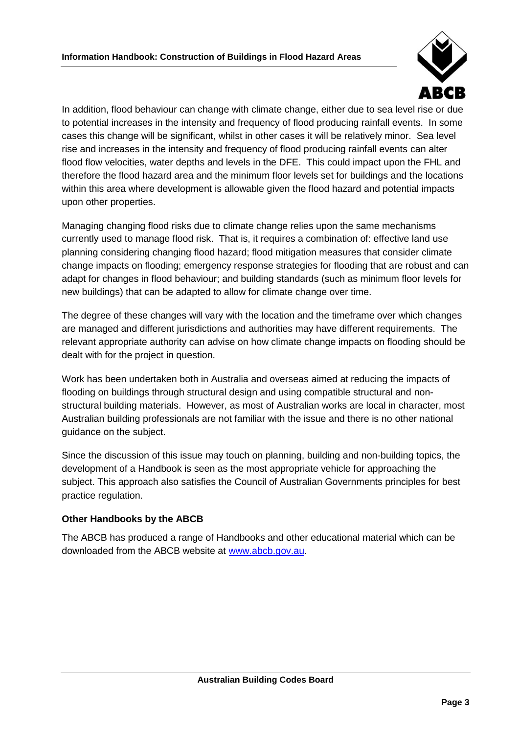

In addition, flood behaviour can change with climate change, either due to sea level rise or due to potential increases in the intensity and frequency of flood producing rainfall events. In some cases this change will be significant, whilst in other cases it will be relatively minor. Sea level rise and increases in the intensity and frequency of flood producing rainfall events can alter flood flow velocities, water depths and levels in the DFE. This could impact upon the FHL and therefore the flood hazard area and the minimum floor levels set for buildings and the locations within this area where development is allowable given the flood hazard and potential impacts upon other properties.

Managing changing flood risks due to climate change relies upon the same mechanisms currently used to manage flood risk. That is, it requires a combination of: effective land use planning considering changing flood hazard; flood mitigation measures that consider climate change impacts on flooding; emergency response strategies for flooding that are robust and can adapt for changes in flood behaviour; and building standards (such as minimum floor levels for new buildings) that can be adapted to allow for climate change over time.

The degree of these changes will vary with the location and the timeframe over which changes are managed and different jurisdictions and authorities may have different requirements. The relevant appropriate authority can advise on how climate change impacts on flooding should be dealt with for the project in question.

Work has been undertaken both in Australia and overseas aimed at reducing the impacts of flooding on buildings through structural design and using compatible structural and nonstructural building materials. However, as most of Australian works are local in character, most Australian building professionals are not familiar with the issue and there is no other national guidance on the subject.

Since the discussion of this issue may touch on planning, building and non-building topics, the development of a Handbook is seen as the most appropriate vehicle for approaching the subject. This approach also satisfies the Council of Australian Governments principles for best practice regulation.

## **Other Handbooks by the ABCB**

The ABCB has produced a range of Handbooks and other educational material which can be downloaded from the ABCB website at [www.abcb.gov.au.](http://www.abcb.gov.au/)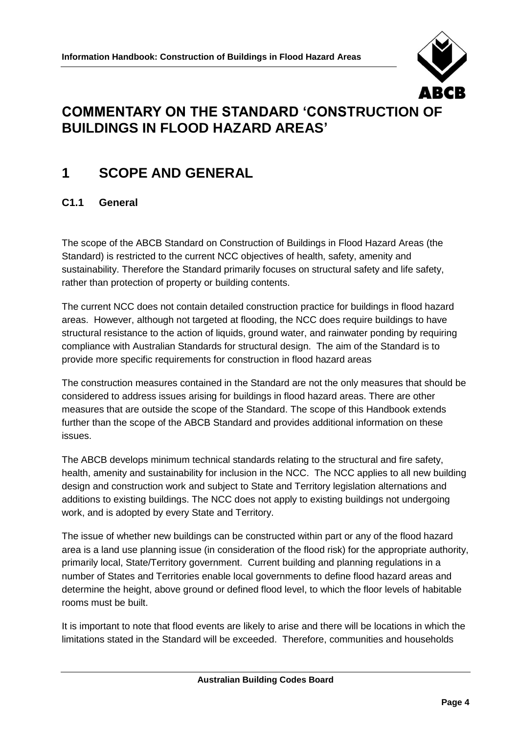

## <span id="page-11-0"></span>**COMMENTARY ON THE STANDARD 'CONSTRUCTION OF BUILDINGS IN FLOOD HAZARD AREAS'**

## <span id="page-11-1"></span>**1 SCOPE AND GENERAL**

## <span id="page-11-2"></span>**C1.1 General**

The scope of the ABCB Standard on Construction of Buildings in Flood Hazard Areas (the Standard) is restricted to the current NCC objectives of health, safety, amenity and sustainability. Therefore the Standard primarily focuses on structural safety and life safety, rather than protection of property or building contents.

The current NCC does not contain detailed construction practice for buildings in flood hazard areas. However, although not targeted at flooding, the NCC does require buildings to have structural resistance to the action of liquids, ground water, and rainwater ponding by requiring compliance with Australian Standards for structural design. The aim of the Standard is to provide more specific requirements for construction in flood hazard areas

The construction measures contained in the Standard are not the only measures that should be considered to address issues arising for buildings in flood hazard areas. There are other measures that are outside the scope of the Standard. The scope of this Handbook extends further than the scope of the ABCB Standard and provides additional information on these issues.

The ABCB develops minimum technical standards relating to the structural and fire safety, health, amenity and sustainability for inclusion in the NCC. The NCC applies to all new building design and construction work and subject to State and Territory legislation alternations and additions to existing buildings. The NCC does not apply to existing buildings not undergoing work, and is adopted by every State and Territory.

The issue of whether new buildings can be constructed within part or any of the flood hazard area is a land use planning issue (in consideration of the flood risk) for the appropriate authority, primarily local, State/Territory government. Current building and planning regulations in a number of States and Territories enable local governments to define flood hazard areas and determine the height, above ground or defined flood level, to which the floor levels of habitable rooms must be built.

It is important to note that flood events are likely to arise and there will be locations in which the limitations stated in the Standard will be exceeded. Therefore, communities and households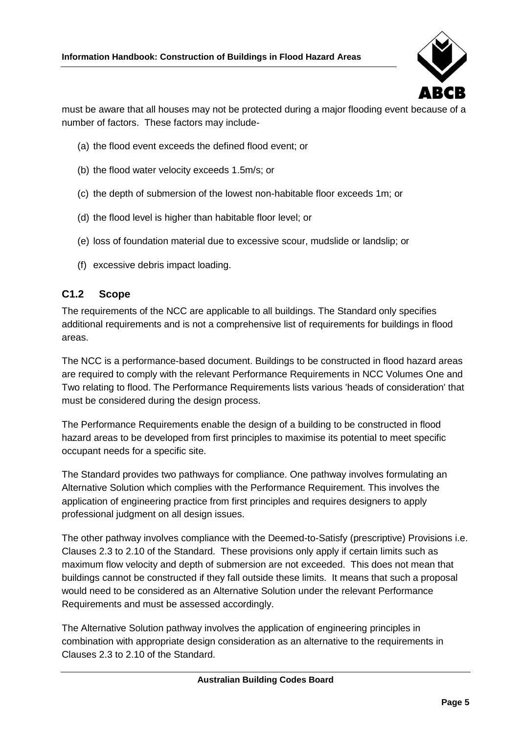

must be aware that all houses may not be protected during a major flooding event because of a number of factors. These factors may include-

- (a) the flood event exceeds the defined flood event; or
- (b) the flood water velocity exceeds 1.5m/s; or
- (c) the depth of submersion of the lowest non-habitable floor exceeds 1m; or
- (d) the flood level is higher than habitable floor level; or
- (e) loss of foundation material due to excessive scour, mudslide or landslip; or
- (f) excessive debris impact loading.

## <span id="page-12-0"></span>**C1.2 Scope**

The requirements of the NCC are applicable to all buildings. The Standard only specifies additional requirements and is not a comprehensive list of requirements for buildings in flood areas.

The NCC is a performance-based document. Buildings to be constructed in flood hazard areas are required to comply with the relevant Performance Requirements in NCC Volumes One and Two relating to flood. The Performance Requirements lists various 'heads of consideration' that must be considered during the design process.

The Performance Requirements enable the design of a building to be constructed in flood hazard areas to be developed from first principles to maximise its potential to meet specific occupant needs for a specific site.

The Standard provides two pathways for compliance. One pathway involves formulating an Alternative Solution which complies with the Performance Requirement. This involves the application of engineering practice from first principles and requires designers to apply professional judgment on all design issues.

The other pathway involves compliance with the Deemed-to-Satisfy (prescriptive) Provisions i.e. Clauses 2.3 to 2.10 of the Standard. These provisions only apply if certain limits such as maximum flow velocity and depth of submersion are not exceeded. This does not mean that buildings cannot be constructed if they fall outside these limits. It means that such a proposal would need to be considered as an Alternative Solution under the relevant Performance Requirements and must be assessed accordingly.

The Alternative Solution pathway involves the application of engineering principles in combination with appropriate design consideration as an alternative to the requirements in Clauses 2.3 to 2.10 of the Standard.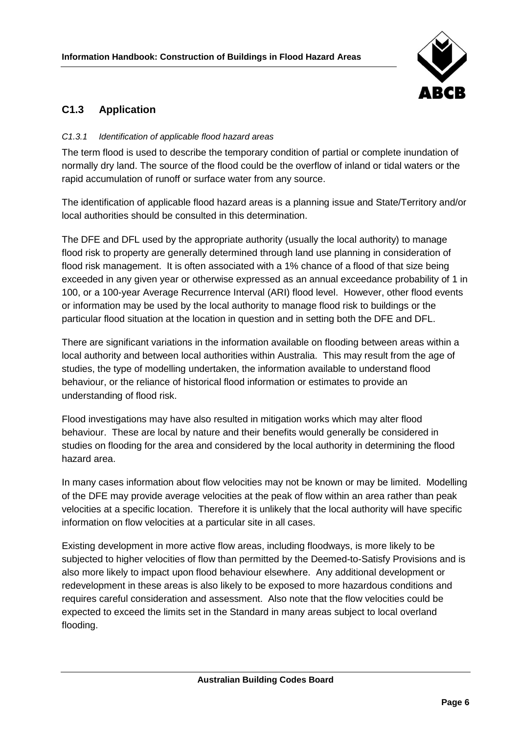

## <span id="page-13-0"></span>**C1.3 Application**

#### *C1.3.1 Identification of applicable flood hazard areas*

The term flood is used to describe the temporary condition of partial or complete inundation of normally dry land. The source of the flood could be the overflow of inland or tidal waters or the rapid accumulation of runoff or surface water from any source.

The identification of applicable flood hazard areas is a planning issue and State/Territory and/or local authorities should be consulted in this determination.

The DFE and DFL used by the appropriate authority (usually the local authority) to manage flood risk to property are generally determined through land use planning in consideration of flood risk management. It is often associated with a 1% chance of a flood of that size being exceeded in any given year or otherwise expressed as an annual exceedance probability of 1 in 100, or a 100-year Average Recurrence Interval (ARI) flood level. However, other flood events or information may be used by the local authority to manage flood risk to buildings or the particular flood situation at the location in question and in setting both the DFE and DFL.

There are significant variations in the information available on flooding between areas within a local authority and between local authorities within Australia. This may result from the age of studies, the type of modelling undertaken, the information available to understand flood behaviour, or the reliance of historical flood information or estimates to provide an understanding of flood risk.

Flood investigations may have also resulted in mitigation works which may alter flood behaviour. These are local by nature and their benefits would generally be considered in studies on flooding for the area and considered by the local authority in determining the flood hazard area.

In many cases information about flow velocities may not be known or may be limited. Modelling of the DFE may provide average velocities at the peak of flow within an area rather than peak velocities at a specific location. Therefore it is unlikely that the local authority will have specific information on flow velocities at a particular site in all cases.

Existing development in more active flow areas, including floodways, is more likely to be subjected to higher velocities of flow than permitted by the Deemed-to-Satisfy Provisions and is also more likely to impact upon flood behaviour elsewhere. Any additional development or redevelopment in these areas is also likely to be exposed to more hazardous conditions and requires careful consideration and assessment. Also note that the flow velocities could be expected to exceed the limits set in the Standard in many areas subject to local overland flooding.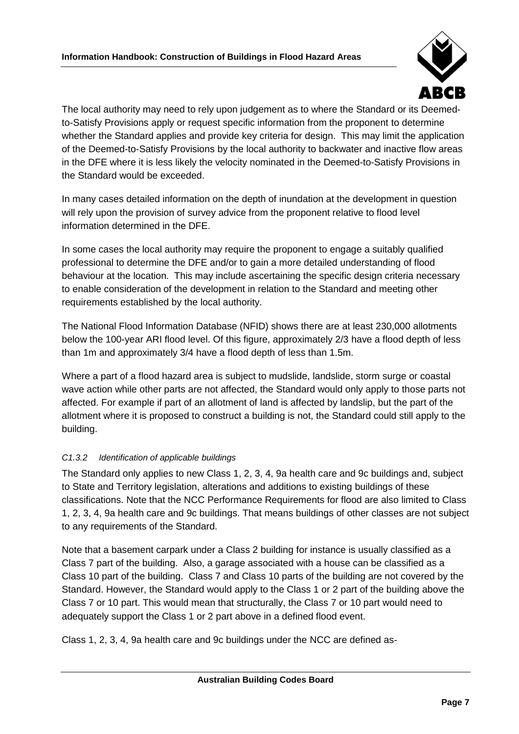

The local authority may need to rely upon judgement as to where the Standard or its Deemedto-Satisfy Provisions apply or request specific information from the proponent to determine whether the Standard applies and provide key criteria for design. This may limit the application of the Deemed-to-Satisfy Provisions by the local authority to backwater and inactive flow areas in the DFE where it is less likely the velocity nominated in the Deemed-to-Satisfy Provisions in the Standard would be exceeded.

In many cases detailed information on the depth of inundation at the development in question will rely upon the provision of survey advice from the proponent relative to flood level information determined in the DFE.

In some cases the local authority may require the proponent to engage a suitably qualified professional to determine the DFE and/or to gain a more detailed understanding of flood behaviour at the location. This may include ascertaining the specific design criteria necessary to enable consideration of the development in relation to the Standard and meeting other requirements established by the local authority.

The National Flood Information Database (NFID) shows there are at least 230,000 allotments below the 100-year ARI flood level. Of this figure, approximately 2/3 have a flood depth of less than 1m and approximately 3/4 have a flood depth of less than 1.5m.

Where a part of a flood hazard area is subject to mudslide, landslide, storm surge or coastal wave action while other parts are not affected, the Standard would only apply to those parts not affected. For example if part of an allotment of land is affected by landslip, but the part of the allotment where it is proposed to construct a building is not, the Standard could still apply to the building.

## *C1.3.2 Identification of applicable buildings*

The Standard only applies to new Class 1, 2, 3, 4, 9a health care and 9c buildings and, subject to State and Territory legislation, alterations and additions to existing buildings of these classifications. Note that the NCC Performance Requirements for flood are also limited to Class 1, 2, 3, 4, 9a health care and 9c buildings. That means buildings of other classes are not subject to any requirements of the Standard.

Note that a basement carpark under a Class 2 building for instance is usually classified as a Class 7 part of the building. Also, a garage associated with a house can be classified as a Class 10 part of the building. Class 7 and Class 10 parts of the building are not covered by the Standard. However, the Standard would apply to the Class 1 or 2 part of the building above the Class 7 or 10 part. This would mean that structurally, the Class 7 or 10 part would need to adequately support the Class 1 or 2 part above in a defined flood event.

Class 1, 2, 3, 4, 9a health care and 9c buildings under the NCC are defined as-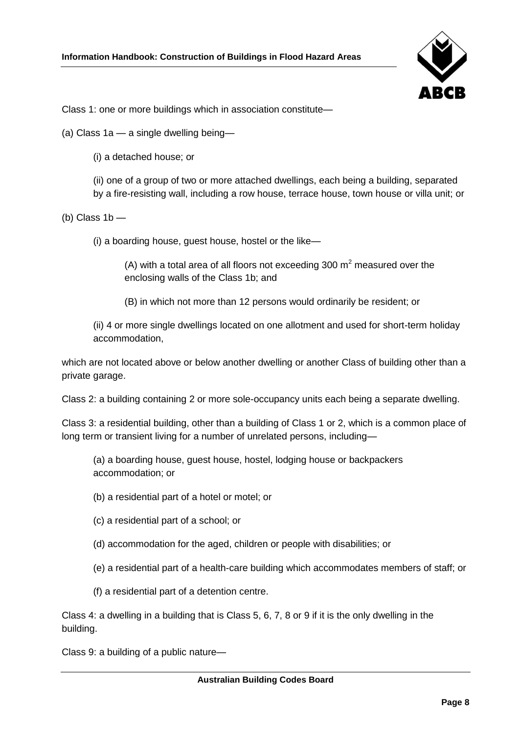

Class 1: one or more buildings which in association constitute—

(a) Class 1a — a single dwelling being—

(i) a detached house; or

(ii) one of a group of two or more attached dwellings, each being a building, separated by a fire-resisting wall, including a row house, terrace house, town house or villa unit; or

(b) Class  $1b$  —

(i) a boarding house, guest house, hostel or the like—

(A) with a total area of all floors not exceeding 300  $m<sup>2</sup>$  measured over the enclosing walls of the Class 1b; and

(B) in which not more than 12 persons would ordinarily be resident; or

(ii) 4 or more single dwellings located on one allotment and used for short-term holiday accommodation,

which are not located above or below another dwelling or another Class of building other than a private garage.

Class 2: a building containing 2 or more sole-occupancy units each being a separate dwelling.

Class 3: a residential building, other than a building of Class 1 or 2, which is a common place of long term or transient living for a number of unrelated persons, including—

(a) a boarding house, guest house, hostel, lodging house or backpackers accommodation; or

- (b) a residential part of a hotel or motel; or
- (c) a residential part of a school; or
- (d) accommodation for the aged, children or people with disabilities; or
- (e) a residential part of a health-care building which accommodates members of staff; or

(f) a residential part of a detention centre.

Class 4: a dwelling in a building that is Class 5, 6, 7, 8 or 9 if it is the only dwelling in the building.

Class 9: a building of a public nature—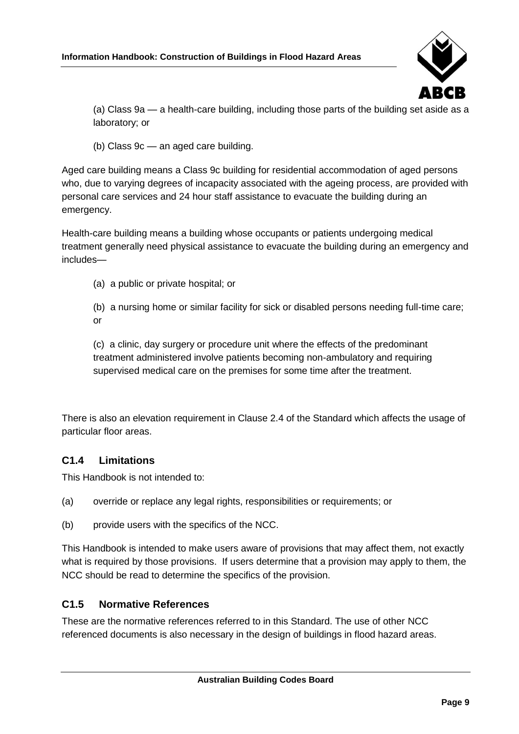

(a) Class 9a — a health-care building, including those parts of the building set aside as a laboratory; or

(b) Class 9c — an aged care building.

Aged care building means a Class 9c building for residential accommodation of aged persons who, due to varying degrees of incapacity associated with the ageing process, are provided with personal care services and 24 hour staff assistance to evacuate the building during an emergency.

Health-care building means a building whose occupants or patients undergoing medical treatment generally need physical assistance to evacuate the building during an emergency and includes—

(a) a public or private hospital; or

(b) a nursing home or similar facility for sick or disabled persons needing full-time care; or

(c) a clinic, day surgery or procedure unit where the effects of the predominant treatment administered involve patients becoming non-ambulatory and requiring supervised medical care on the premises for some time after the treatment.

There is also an elevation requirement in Clause 2.4 of the Standard which affects the usage of particular floor areas.

## <span id="page-16-0"></span>**C1.4 Limitations**

This Handbook is not intended to:

- (a) override or replace any legal rights, responsibilities or requirements; or
- (b) provide users with the specifics of the NCC.

This Handbook is intended to make users aware of provisions that may affect them, not exactly what is required by those provisions. If users determine that a provision may apply to them, the NCC should be read to determine the specifics of the provision.

## <span id="page-16-1"></span>**C1.5 Normative References**

These are the normative references referred to in this Standard. The use of other NCC referenced documents is also necessary in the design of buildings in flood hazard areas.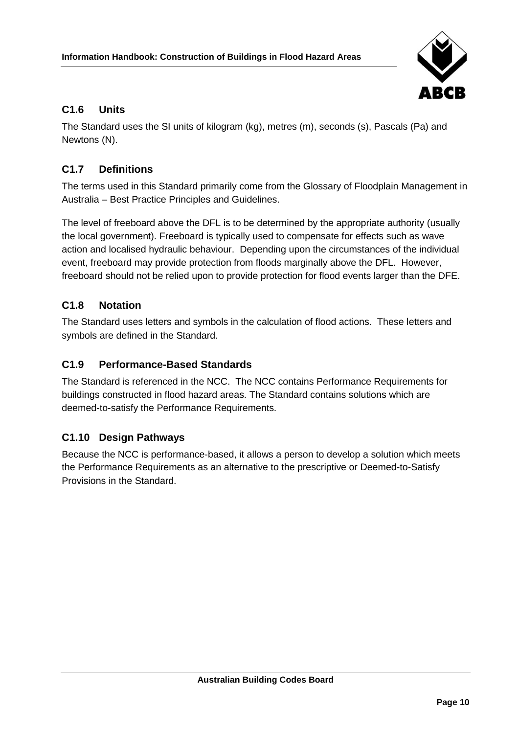

## <span id="page-17-0"></span>**C1.6 Units**

The Standard uses the SI units of kilogram (kg), metres (m), seconds (s), Pascals (Pa) and Newtons (N).

## <span id="page-17-1"></span>**C1.7 Definitions**

The terms used in this Standard primarily come from the Glossary of Floodplain Management in Australia – Best Practice Principles and Guidelines.

The level of freeboard above the DFL is to be determined by the appropriate authority (usually the local government). Freeboard is typically used to compensate for effects such as wave action and localised hydraulic behaviour. Depending upon the circumstances of the individual event, freeboard may provide protection from floods marginally above the DFL. However, freeboard should not be relied upon to provide protection for flood events larger than the DFE.

## <span id="page-17-2"></span>**C1.8 Notation**

The Standard uses letters and symbols in the calculation of flood actions. These letters and symbols are defined in the Standard.

## <span id="page-17-3"></span>**C1.9 Performance-Based Standards**

The Standard is referenced in the NCC. The NCC contains Performance Requirements for buildings constructed in flood hazard areas. The Standard contains solutions which are deemed-to-satisfy the Performance Requirements.

## <span id="page-17-4"></span>**C1.10 Design Pathways**

Because the NCC is performance-based, it allows a person to develop a solution which meets the Performance Requirements as an alternative to the prescriptive or Deemed-to-Satisfy Provisions in the Standard.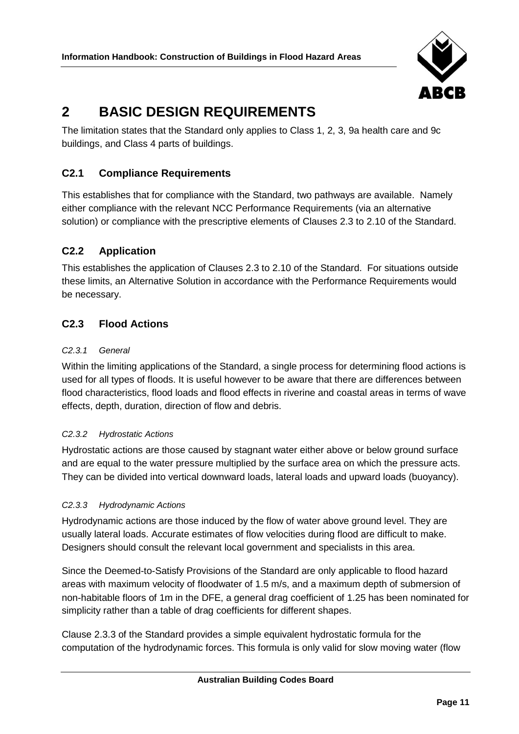

## <span id="page-18-0"></span>**2 BASIC DESIGN REQUIREMENTS**

The limitation states that the Standard only applies to Class 1, 2, 3, 9a health care and 9c buildings, and Class 4 parts of buildings.

## <span id="page-18-1"></span>**C2.1 Compliance Requirements**

This establishes that for compliance with the Standard, two pathways are available. Namely either compliance with the relevant NCC Performance Requirements (via an alternative solution) or compliance with the prescriptive elements of Clauses 2.3 to 2.10 of the Standard.

## <span id="page-18-2"></span>**C2.2 Application**

This establishes the application of Clauses 2.3 to 2.10 of the Standard. For situations outside these limits, an Alternative Solution in accordance with the Performance Requirements would be necessary.

## <span id="page-18-3"></span>**C2.3 Flood Actions**

#### *C2.3.1 General*

Within the limiting applications of the Standard, a single process for determining flood actions is used for all types of floods. It is useful however to be aware that there are differences between flood characteristics, flood loads and flood effects in riverine and coastal areas in terms of wave effects, depth, duration, direction of flow and debris.

## *C2.3.2 Hydrostatic Actions*

Hydrostatic actions are those caused by stagnant water either above or below ground surface and are equal to the water pressure multiplied by the surface area on which the pressure acts. They can be divided into vertical downward loads, lateral loads and upward loads (buoyancy).

#### *C2.3.3 Hydrodynamic Actions*

Hydrodynamic actions are those induced by the flow of water above ground level. They are usually lateral loads. Accurate estimates of flow velocities during flood are difficult to make. Designers should consult the relevant local government and specialists in this area.

Since the Deemed-to-Satisfy Provisions of the Standard are only applicable to flood hazard areas with maximum velocity of floodwater of 1.5 m/s, and a maximum depth of submersion of non-habitable floors of 1m in the DFE, a general drag coefficient of 1.25 has been nominated for simplicity rather than a table of drag coefficients for different shapes.

Clause 2.3.3 of the Standard provides a simple equivalent hydrostatic formula for the computation of the hydrodynamic forces. This formula is only valid for slow moving water (flow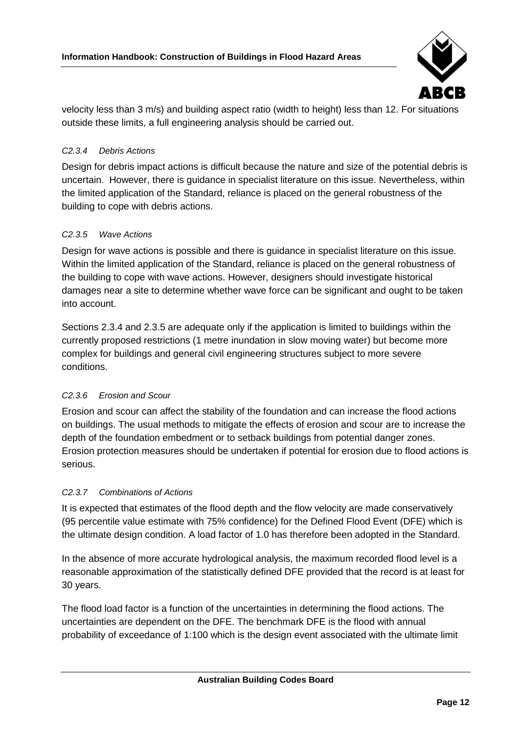

velocity less than 3 m/s) and building aspect ratio (width to height) less than 12. For situations outside these limits, a full engineering analysis should be carried out.

#### *C2.3.4 Debris Actions*

Design for debris impact actions is difficult because the nature and size of the potential debris is uncertain. However, there is guidance in specialist literature on this issue. Nevertheless, within the limited application of the Standard, reliance is placed on the general robustness of the building to cope with debris actions.

#### *C2.3.5 Wave Actions*

Design for wave actions is possible and there is guidance in specialist literature on this issue. Within the limited application of the Standard, reliance is placed on the general robustness of the building to cope with wave actions. However, designers should investigate historical damages near a site to determine whether wave force can be significant and ought to be taken into account.

Sections 2.3.4 and 2.3.5 are adequate only if the application is limited to buildings within the currently proposed restrictions (1 metre inundation in slow moving water) but become more complex for buildings and general civil engineering structures subject to more severe conditions.

#### *C2.3.6 Erosion and Scour*

Erosion and scour can affect the stability of the foundation and can increase the flood actions on buildings. The usual methods to mitigate the effects of erosion and scour are to increase the depth of the foundation embedment or to setback buildings from potential danger zones. Erosion protection measures should be undertaken if potential for erosion due to flood actions is serious.

#### *C2.3.7 Combinations of Actions*

It is expected that estimates of the flood depth and the flow velocity are made conservatively (95 percentile value estimate with 75% confidence) for the Defined Flood Event (DFE) which is the ultimate design condition. A load factor of 1.0 has therefore been adopted in the Standard.

In the absence of more accurate hydrological analysis, the maximum recorded flood level is a reasonable approximation of the statistically defined DFE provided that the record is at least for 30 years.

The flood load factor is a function of the uncertainties in determining the flood actions. The uncertainties are dependent on the DFE. The benchmark DFE is the flood with annual probability of exceedance of 1:100 which is the design event associated with the ultimate limit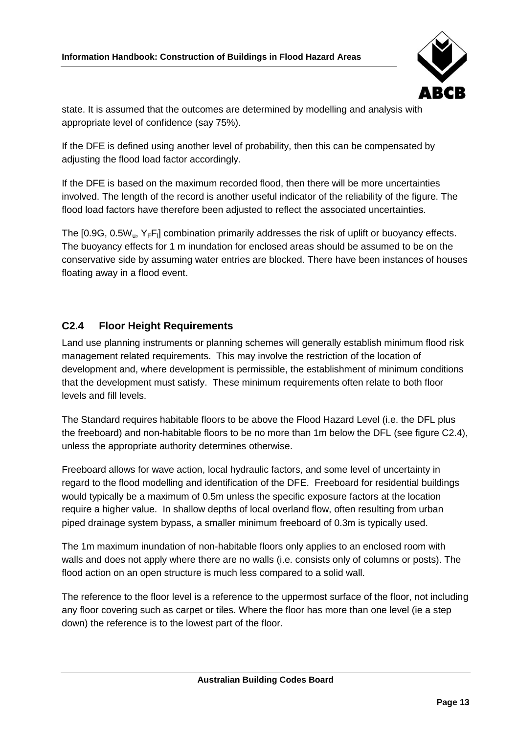

state. It is assumed that the outcomes are determined by modelling and analysis with appropriate level of confidence (say 75%).

If the DFE is defined using another level of probability, then this can be compensated by adjusting the flood load factor accordingly.

If the DFE is based on the maximum recorded flood, then there will be more uncertainties involved. The length of the record is another useful indicator of the reliability of the figure. The flood load factors have therefore been adjusted to reflect the associated uncertainties.

The [0.9G, 0.5W<sub>u</sub>, Y<sub>F</sub>F<sub>I</sub>] combination primarily addresses the risk of uplift or buoyancy effects. The buoyancy effects for 1 m inundation for enclosed areas should be assumed to be on the conservative side by assuming water entries are blocked. There have been instances of houses floating away in a flood event.

## <span id="page-20-0"></span>**C2.4 Floor Height Requirements**

Land use planning instruments or planning schemes will generally establish minimum flood risk management related requirements. This may involve the restriction of the location of development and, where development is permissible, the establishment of minimum conditions that the development must satisfy. These minimum requirements often relate to both floor levels and fill levels.

The Standard requires habitable floors to be above the Flood Hazard Level (i.e. the DFL plus the freeboard) and non-habitable floors to be no more than 1m below the DFL (see figure C2.4), unless the appropriate authority determines otherwise.

Freeboard allows for wave action, local hydraulic factors, and some level of uncertainty in regard to the flood modelling and identification of the DFE. Freeboard for residential buildings would typically be a maximum of 0.5m unless the specific exposure factors at the location require a higher value. In shallow depths of local overland flow, often resulting from urban piped drainage system bypass, a smaller minimum freeboard of 0.3m is typically used.

The 1m maximum inundation of non-habitable floors only applies to an enclosed room with walls and does not apply where there are no walls (i.e. consists only of columns or posts). The flood action on an open structure is much less compared to a solid wall.

The reference to the floor level is a reference to the uppermost surface of the floor, not including any floor covering such as carpet or tiles. Where the floor has more than one level (ie a step down) the reference is to the lowest part of the floor.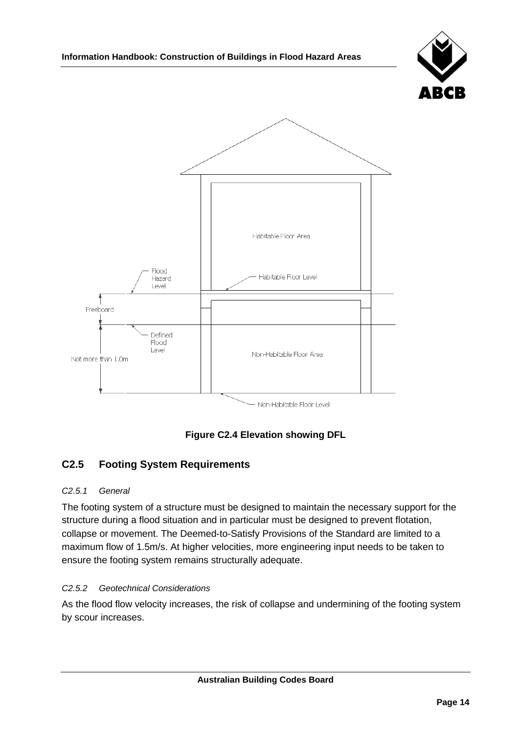



## **Figure C2.4 Elevation showing DFL**

## <span id="page-21-0"></span>**C2.5 Footing System Requirements**

#### *C2.5.1 General*

The footing system of a structure must be designed to maintain the necessary support for the structure during a flood situation and in particular must be designed to prevent flotation, collapse or movement. The Deemed-to-Satisfy Provisions of the Standard are limited to a maximum flow of 1.5m/s. At higher velocities, more engineering input needs to be taken to ensure the footing system remains structurally adequate.

#### *C2.5.2 Geotechnical Considerations*

As the flood flow velocity increases, the risk of collapse and undermining of the footing system by scour increases.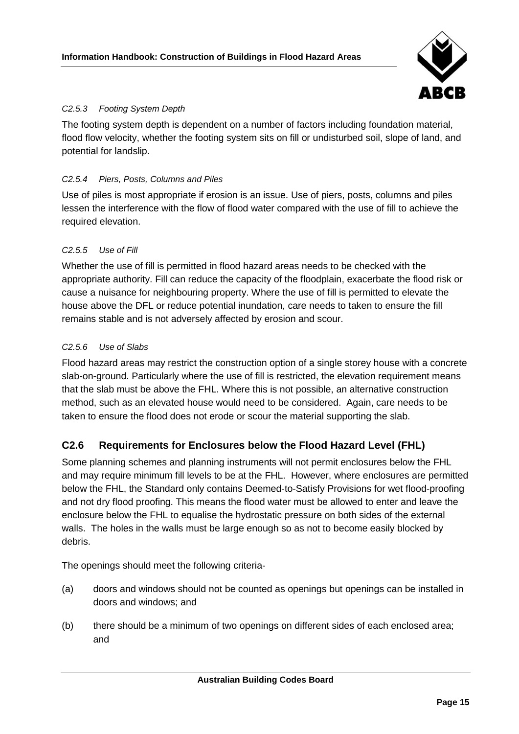

### *C2.5.3 Footing System Depth*

The footing system depth is dependent on a number of factors including foundation material, flood flow velocity, whether the footing system sits on fill or undisturbed soil, slope of land, and potential for landslip.

#### *C2.5.4 Piers, Posts, Columns and Piles*

Use of piles is most appropriate if erosion is an issue. Use of piers, posts, columns and piles lessen the interference with the flow of flood water compared with the use of fill to achieve the required elevation.

#### *C2.5.5 Use of Fill*

Whether the use of fill is permitted in flood hazard areas needs to be checked with the appropriate authority. Fill can reduce the capacity of the floodplain, exacerbate the flood risk or cause a nuisance for neighbouring property. Where the use of fill is permitted to elevate the house above the DFL or reduce potential inundation, care needs to taken to ensure the fill remains stable and is not adversely affected by erosion and scour.

#### *C2.5.6 Use of Slabs*

Flood hazard areas may restrict the construction option of a single storey house with a concrete slab-on-ground. Particularly where the use of fill is restricted, the elevation requirement means that the slab must be above the FHL. Where this is not possible, an alternative construction method, such as an elevated house would need to be considered. Again, care needs to be taken to ensure the flood does not erode or scour the material supporting the slab.

## <span id="page-22-0"></span>**C2.6 Requirements for Enclosures below the Flood Hazard Level (FHL)**

Some planning schemes and planning instruments will not permit enclosures below the FHL and may require minimum fill levels to be at the FHL. However, where enclosures are permitted below the FHL, the Standard only contains Deemed-to-Satisfy Provisions for wet flood-proofing and not dry flood proofing. This means the flood water must be allowed to enter and leave the enclosure below the FHL to equalise the hydrostatic pressure on both sides of the external walls. The holes in the walls must be large enough so as not to become easily blocked by debris.

The openings should meet the following criteria-

- (a) doors and windows should not be counted as openings but openings can be installed in doors and windows; and
- (b) there should be a minimum of two openings on different sides of each enclosed area; and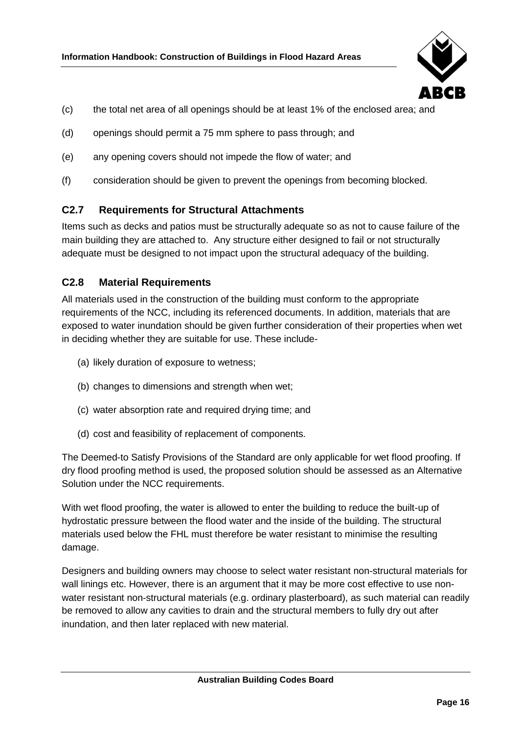

- (c) the total net area of all openings should be at least 1% of the enclosed area; and
- (d) openings should permit a 75 mm sphere to pass through; and
- (e) any opening covers should not impede the flow of water; and
- (f) consideration should be given to prevent the openings from becoming blocked.

## <span id="page-23-0"></span>**C2.7 Requirements for Structural Attachments**

Items such as decks and patios must be structurally adequate so as not to cause failure of the main building they are attached to. Any structure either designed to fail or not structurally adequate must be designed to not impact upon the structural adequacy of the building.

## <span id="page-23-1"></span>**C2.8 Material Requirements**

All materials used in the construction of the building must conform to the appropriate requirements of the NCC, including its referenced documents. In addition, materials that are exposed to water inundation should be given further consideration of their properties when wet in deciding whether they are suitable for use. These include-

- (a) likely duration of exposure to wetness;
- (b) changes to dimensions and strength when wet;
- (c) water absorption rate and required drying time; and
- (d) cost and feasibility of replacement of components.

The Deemed-to Satisfy Provisions of the Standard are only applicable for wet flood proofing. If dry flood proofing method is used, the proposed solution should be assessed as an Alternative Solution under the NCC requirements.

With wet flood proofing, the water is allowed to enter the building to reduce the built-up of hydrostatic pressure between the flood water and the inside of the building. The structural materials used below the FHL must therefore be water resistant to minimise the resulting damage.

Designers and building owners may choose to select water resistant non-structural materials for wall linings etc. However, there is an argument that it may be more cost effective to use nonwater resistant non-structural materials (e.g. ordinary plasterboard), as such material can readily be removed to allow any cavities to drain and the structural members to fully dry out after inundation, and then later replaced with new material.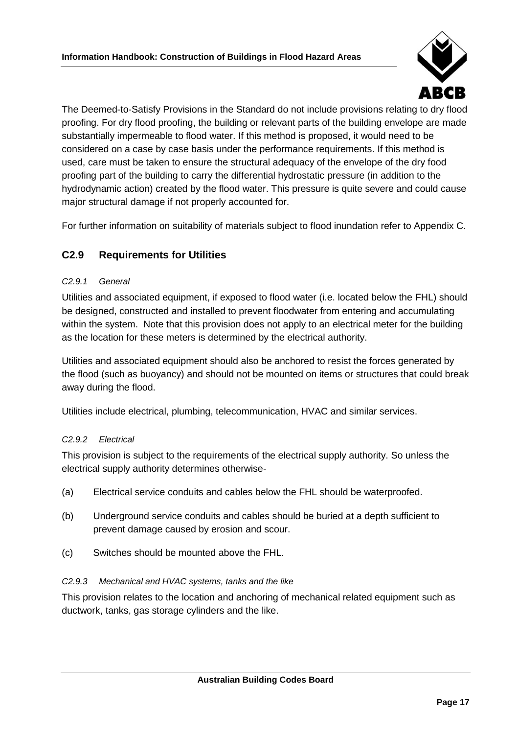

The Deemed-to-Satisfy Provisions in the Standard do not include provisions relating to dry flood proofing. For dry flood proofing, the building or relevant parts of the building envelope are made substantially impermeable to flood water. If this method is proposed, it would need to be considered on a case by case basis under the performance requirements. If this method is used, care must be taken to ensure the structural adequacy of the envelope of the dry food proofing part of the building to carry the differential hydrostatic pressure (in addition to the hydrodynamic action) created by the flood water. This pressure is quite severe and could cause major structural damage if not properly accounted for.

For further information on suitability of materials subject to flood inundation refer to Appendix C.

## <span id="page-24-0"></span>**C2.9 Requirements for Utilities**

#### *C2.9.1 General*

Utilities and associated equipment, if exposed to flood water (i.e. located below the FHL) should be designed, constructed and installed to prevent floodwater from entering and accumulating within the system. Note that this provision does not apply to an electrical meter for the building as the location for these meters is determined by the electrical authority.

Utilities and associated equipment should also be anchored to resist the forces generated by the flood (such as buoyancy) and should not be mounted on items or structures that could break away during the flood.

Utilities include electrical, plumbing, telecommunication, HVAC and similar services.

#### *C2.9.2 Electrical*

This provision is subject to the requirements of the electrical supply authority. So unless the electrical supply authority determines otherwise-

- (a) Electrical service conduits and cables below the FHL should be waterproofed.
- (b) Underground service conduits and cables should be buried at a depth sufficient to prevent damage caused by erosion and scour.
- (c) Switches should be mounted above the FHL.

#### *C2.9.3 Mechanical and HVAC systems, tanks and the like*

This provision relates to the location and anchoring of mechanical related equipment such as ductwork, tanks, gas storage cylinders and the like.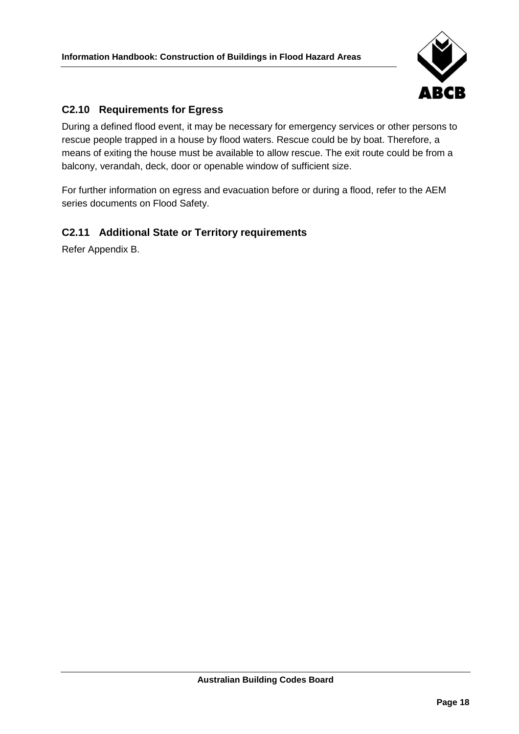

## <span id="page-25-0"></span>**C2.10 Requirements for Egress**

During a defined flood event, it may be necessary for emergency services or other persons to rescue people trapped in a house by flood waters. Rescue could be by boat. Therefore, a means of exiting the house must be available to allow rescue. The exit route could be from a balcony, verandah, deck, door or openable window of sufficient size.

For further information on egress and evacuation before or during a flood, refer to the AEM series documents on Flood Safety.

## <span id="page-25-1"></span>**C2.11 Additional State or Territory requirements**

Refer Appendix B.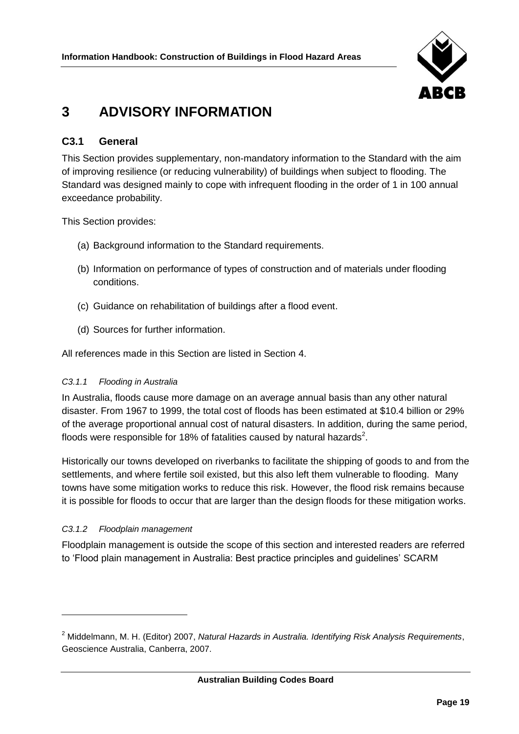

## <span id="page-26-0"></span>**3 ADVISORY INFORMATION**

## <span id="page-26-1"></span>**C3.1 General**

This Section provides supplementary, non-mandatory information to the Standard with the aim of improving resilience (or reducing vulnerability) of buildings when subject to flooding. The Standard was designed mainly to cope with infrequent flooding in the order of 1 in 100 annual exceedance probability.

This Section provides:

- (a) Background information to the Standard requirements.
- (b) Information on performance of types of construction and of materials under flooding conditions.
- (c) Guidance on rehabilitation of buildings after a flood event.
- (d) Sources for further information.

All references made in this Section are listed in Section 4.

#### *C3.1.1 Flooding in Australia*

In Australia, floods cause more damage on an average annual basis than any other natural disaster. From 1967 to 1999, the total cost of floods has been estimated at \$10.4 billion or 29% of the average proportional annual cost of natural disasters. In addition, during the same period, floods were responsible for 18% of fatalities caused by natural hazards<sup>2</sup>.

Historically our towns developed on riverbanks to facilitate the shipping of goods to and from the settlements, and where fertile soil existed, but this also left them vulnerable to flooding. Many towns have some mitigation works to reduce this risk. However, the flood risk remains because it is possible for floods to occur that are larger than the design floods for these mitigation works.

#### *C3.1.2 Floodplain management*

 $\overline{a}$ 

Floodplain management is outside the scope of this section and interested readers are referred to 'Flood plain management in Australia: Best practice principles and guidelines' SCARM

<sup>2</sup> Middelmann, M. H. (Editor) 2007, *Natural Hazards in Australia. Identifying Risk Analysis Requirements*, Geoscience Australia, Canberra, 2007.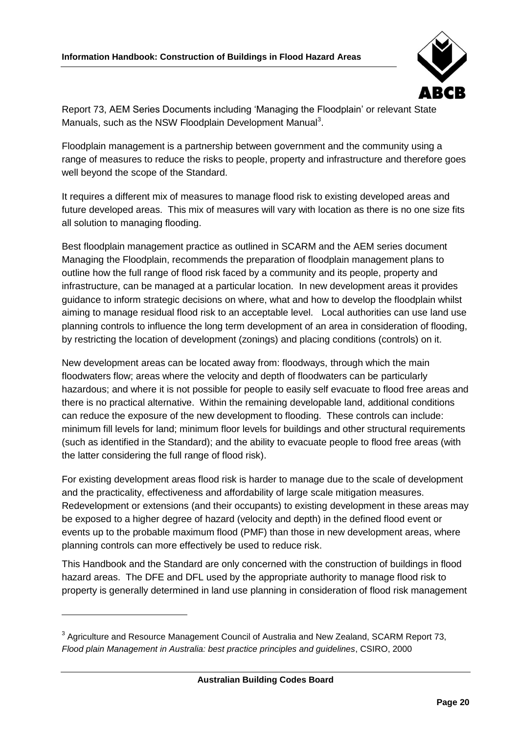

Report 73, AEM Series Documents including 'Managing the Floodplain' or relevant State Manuals, such as the NSW Floodplain Development Manual<sup>3</sup>.

Floodplain management is a partnership between government and the community using a range of measures to reduce the risks to people, property and infrastructure and therefore goes well beyond the scope of the Standard.

It requires a different mix of measures to manage flood risk to existing developed areas and future developed areas. This mix of measures will vary with location as there is no one size fits all solution to managing flooding.

Best floodplain management practice as outlined in SCARM and the AEM series document Managing the Floodplain, recommends the preparation of floodplain management plans to outline how the full range of flood risk faced by a community and its people, property and infrastructure, can be managed at a particular location. In new development areas it provides guidance to inform strategic decisions on where, what and how to develop the floodplain whilst aiming to manage residual flood risk to an acceptable level. Local authorities can use land use planning controls to influence the long term development of an area in consideration of flooding, by restricting the location of development (zonings) and placing conditions (controls) on it.

New development areas can be located away from: floodways, through which the main floodwaters flow; areas where the velocity and depth of floodwaters can be particularly hazardous; and where it is not possible for people to easily self evacuate to flood free areas and there is no practical alternative. Within the remaining developable land, additional conditions can reduce the exposure of the new development to flooding. These controls can include: minimum fill levels for land; minimum floor levels for buildings and other structural requirements (such as identified in the Standard); and the ability to evacuate people to flood free areas (with the latter considering the full range of flood risk).

For existing development areas flood risk is harder to manage due to the scale of development and the practicality, effectiveness and affordability of large scale mitigation measures. Redevelopment or extensions (and their occupants) to existing development in these areas may be exposed to a higher degree of hazard (velocity and depth) in the defined flood event or events up to the probable maximum flood (PMF) than those in new development areas, where planning controls can more effectively be used to reduce risk.

This Handbook and the Standard are only concerned with the construction of buildings in flood hazard areas. The DFE and DFL used by the appropriate authority to manage flood risk to property is generally determined in land use planning in consideration of flood risk management

 $\overline{a}$ 

 $^3$  Agriculture and Resource Management Council of Australia and New Zealand, SCARM Report 73, *Flood plain Management in Australia: best practice principles and guidelines*, CSIRO, 2000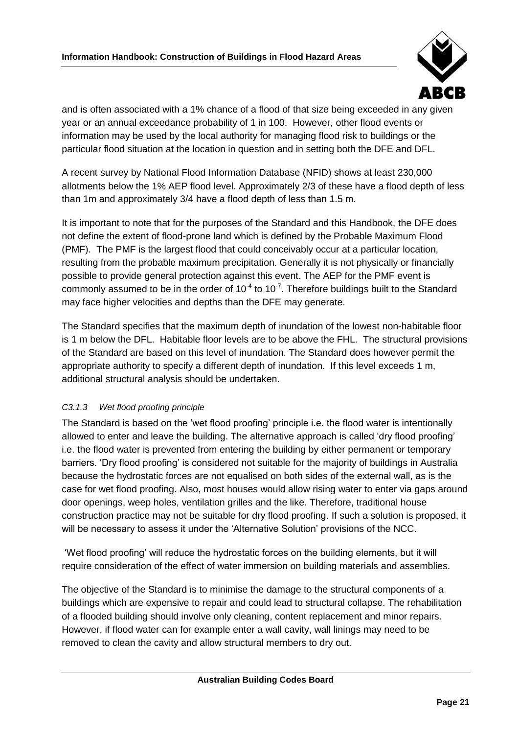

and is often associated with a 1% chance of a flood of that size being exceeded in any given year or an annual exceedance probability of 1 in 100. However, other flood events or information may be used by the local authority for managing flood risk to buildings or the particular flood situation at the location in question and in setting both the DFE and DFL.

A recent survey by National Flood Information Database (NFID) shows at least 230,000 allotments below the 1% AEP flood level. Approximately 2/3 of these have a flood depth of less than 1m and approximately 3/4 have a flood depth of less than 1.5 m.

It is important to note that for the purposes of the Standard and this Handbook, the DFE does not define the extent of flood-prone land which is defined by the Probable Maximum Flood (PMF). The PMF is the largest flood that could conceivably occur at a particular location, resulting from the probable maximum precipitation. Generally it is not physically or financially possible to provide general protection against this event. The AEP for the PMF event is commonly assumed to be in the order of 10<sup>-4</sup> to 10<sup>-7</sup>. Therefore buildings built to the Standard may face higher velocities and depths than the DFE may generate.

The Standard specifies that the maximum depth of inundation of the lowest non-habitable floor is 1 m below the DFL. Habitable floor levels are to be above the FHL. The structural provisions of the Standard are based on this level of inundation. The Standard does however permit the appropriate authority to specify a different depth of inundation. If this level exceeds 1 m, additional structural analysis should be undertaken.

## *C3.1.3 Wet flood proofing principle*

The Standard is based on the 'wet flood proofing' principle i.e. the flood water is intentionally allowed to enter and leave the building. The alternative approach is called 'dry flood proofing' i.e. the flood water is prevented from entering the building by either permanent or temporary barriers. 'Dry flood proofing' is considered not suitable for the majority of buildings in Australia because the hydrostatic forces are not equalised on both sides of the external wall, as is the case for wet flood proofing. Also, most houses would allow rising water to enter via gaps around door openings, weep holes, ventilation grilles and the like. Therefore, traditional house construction practice may not be suitable for dry flood proofing. If such a solution is proposed, it will be necessary to assess it under the 'Alternative Solution' provisions of the NCC.

'Wet flood proofing' will reduce the hydrostatic forces on the building elements, but it will require consideration of the effect of water immersion on building materials and assemblies.

The objective of the Standard is to minimise the damage to the structural components of a buildings which are expensive to repair and could lead to structural collapse. The rehabilitation of a flooded building should involve only cleaning, content replacement and minor repairs. However, if flood water can for example enter a wall cavity, wall linings may need to be removed to clean the cavity and allow structural members to dry out.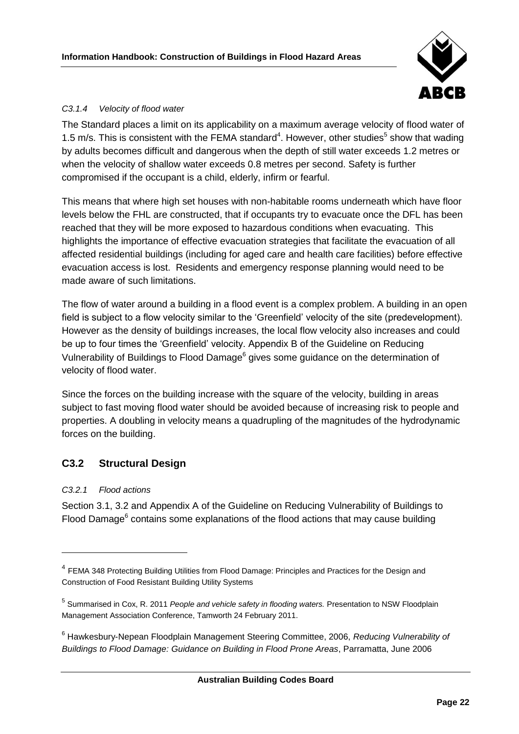

#### *C3.1.4 Velocity of flood water*

The Standard places a limit on its applicability on a maximum average velocity of flood water of 1.5 m/s. This is consistent with the FEMA standard<sup>4</sup>. However, other studies<sup>5</sup> show that wading by adults becomes difficult and dangerous when the depth of still water exceeds 1.2 metres or when the velocity of shallow water exceeds 0.8 metres per second. Safety is further compromised if the occupant is a child, elderly, infirm or fearful.

This means that where high set houses with non-habitable rooms underneath which have floor levels below the FHL are constructed, that if occupants try to evacuate once the DFL has been reached that they will be more exposed to hazardous conditions when evacuating. This highlights the importance of effective evacuation strategies that facilitate the evacuation of all affected residential buildings (including for aged care and health care facilities) before effective evacuation access is lost. Residents and emergency response planning would need to be made aware of such limitations.

The flow of water around a building in a flood event is a complex problem. A building in an open field is subject to a flow velocity similar to the 'Greenfield' velocity of the site (predevelopment). However as the density of buildings increases, the local flow velocity also increases and could be up to four times the 'Greenfield' velocity. Appendix B of the Guideline on Reducing Vulnerability of Buildings to Flood Damage<sup>6</sup> gives some guidance on the determination of velocity of flood water.

<span id="page-29-1"></span>Since the forces on the building increase with the square of the velocity, building in areas subject to fast moving flood water should be avoided because of increasing risk to people and properties. A doubling in velocity means a quadrupling of the magnitudes of the hydrodynamic forces on the building.

## <span id="page-29-0"></span>**C3.2 Structural Design**

#### *C3.2.1 Flood actions*

 $\overline{a}$ 

Section 3.1, 3.2 and Appendix A of the Guideline on Reducing Vulnerability of Buildings to Flood Damage<sup>[6](#page-29-1)</sup> contains some explanations of the flood actions that may cause building

<sup>&</sup>lt;sup>4</sup> FEMA 348 Protecting Building Utilities from Flood Damage: Principles and Practices for the Design and Construction of Food Resistant Building Utility Systems

<sup>5</sup> Summarised in Cox, R. 2011 *People and vehicle safety in flooding waters.* Presentation to NSW Floodplain Management Association Conference, Tamworth 24 February 2011.

<sup>6</sup> Hawkesbury-Nepean Floodplain Management Steering Committee, 2006, *Reducing Vulnerability of Buildings to Flood Damage: Guidance on Building in Flood Prone Areas*, Parramatta, June 2006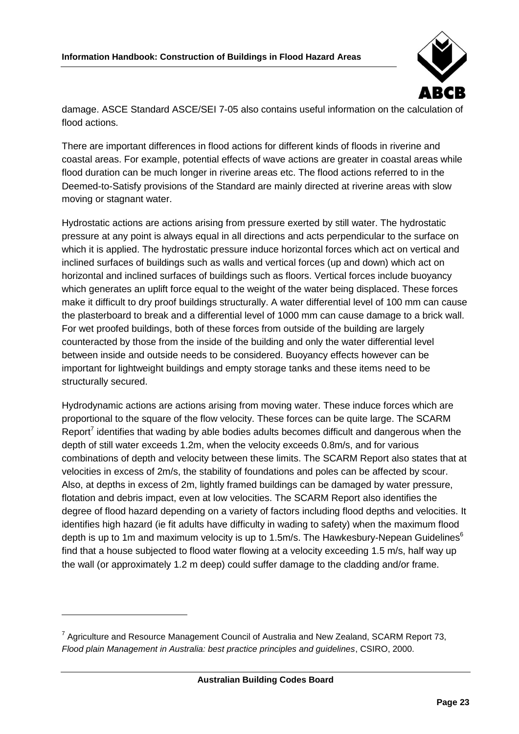

damage. ASCE Standard ASCE/SEI 7-05 also contains useful information on the calculation of flood actions.

There are important differences in flood actions for different kinds of floods in riverine and coastal areas. For example, potential effects of wave actions are greater in coastal areas while flood duration can be much longer in riverine areas etc. The flood actions referred to in the Deemed-to-Satisfy provisions of the Standard are mainly directed at riverine areas with slow moving or stagnant water.

Hydrostatic actions are actions arising from pressure exerted by still water. The hydrostatic pressure at any point is always equal in all directions and acts perpendicular to the surface on which it is applied. The hydrostatic pressure induce horizontal forces which act on vertical and inclined surfaces of buildings such as walls and vertical forces (up and down) which act on horizontal and inclined surfaces of buildings such as floors. Vertical forces include buoyancy which generates an uplift force equal to the weight of the water being displaced. These forces make it difficult to dry proof buildings structurally. A water differential level of 100 mm can cause the plasterboard to break and a differential level of 1000 mm can cause damage to a brick wall. For wet proofed buildings, both of these forces from outside of the building are largely counteracted by those from the inside of the building and only the water differential level between inside and outside needs to be considered. Buoyancy effects however can be important for lightweight buildings and empty storage tanks and these items need to be structurally secured.

Hydrodynamic actions are actions arising from moving water. These induce forces which are proportional to the square of the flow velocity. These forces can be quite large. The SCARM Report<sup>7</sup> identifies that wading by able bodies adults becomes difficult and dangerous when the depth of still water exceeds 1.2m, when the velocity exceeds 0.8m/s, and for various combinations of depth and velocity between these limits. The SCARM Report also states that at velocities in excess of 2m/s, the stability of foundations and poles can be affected by scour. Also, at depths in excess of 2m, lightly framed buildings can be damaged by water pressure, flotation and debris impact, even at low velocities. The SCARM Report also identifies the degree of flood hazard depending on a variety of factors including flood depths and velocities. It identifies high hazard (ie fit adults have difficulty in wading to safety) when the maximum flood depth i[s](#page-29-1) up to 1m and maximum velocity is up to 1.5m/s. The Hawkesbury-Nepean Guidelines<sup>6</sup> find that a house subjected to flood water flowing at a velocity exceeding 1.5 m/s, half way up the wall (or approximately 1.2 m deep) could suffer damage to the cladding and/or frame.

 $\overline{a}$ 

 $^7$  Agriculture and Resource Management Council of Australia and New Zealand, SCARM Report 73, *Flood plain Management in Australia: best practice principles and guidelines*, CSIRO, 2000.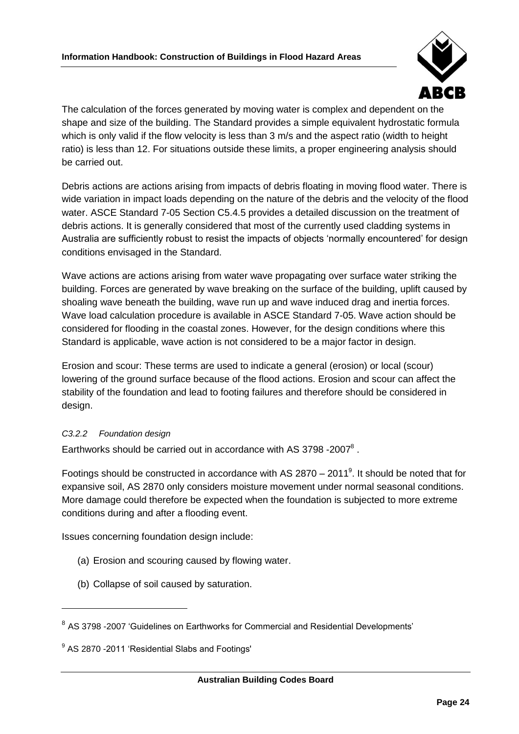

The calculation of the forces generated by moving water is complex and dependent on the shape and size of the building. The Standard provides a simple equivalent hydrostatic formula which is only valid if the flow velocity is less than 3 m/s and the aspect ratio (width to height ratio) is less than 12. For situations outside these limits, a proper engineering analysis should be carried out.

Debris actions are actions arising from impacts of debris floating in moving flood water. There is wide variation in impact loads depending on the nature of the debris and the velocity of the flood water. ASCE Standard 7-05 Section C5.4.5 provides a detailed discussion on the treatment of debris actions. It is generally considered that most of the currently used cladding systems in Australia are sufficiently robust to resist the impacts of objects 'normally encountered' for design conditions envisaged in the Standard.

Wave actions are actions arising from water wave propagating over surface water striking the building. Forces are generated by wave breaking on the surface of the building, uplift caused by shoaling wave beneath the building, wave run up and wave induced drag and inertia forces. Wave load calculation procedure is available in ASCE Standard 7-05. Wave action should be considered for flooding in the coastal zones. However, for the design conditions where this Standard is applicable, wave action is not considered to be a major factor in design.

Erosion and scour: These terms are used to indicate a general (erosion) or local (scour) lowering of the ground surface because of the flood actions. Erosion and scour can affect the stability of the foundation and lead to footing failures and therefore should be considered in design.

## *C3.2.2 Foundation design*

 $\overline{a}$ 

Earthworks should be carried out in accordance with AS 3798 -2007<sup>8</sup>.

Footings should be constructed in accordance with AS 2870 – 2011<sup>9</sup>. It should be noted that for expansive soil, AS 2870 only considers moisture movement under normal seasonal conditions. More damage could therefore be expected when the foundation is subjected to more extreme conditions during and after a flooding event.

Issues concerning foundation design include:

- (a) Erosion and scouring caused by flowing water.
- (b) Collapse of soil caused by saturation.

<sup>&</sup>lt;sup>8</sup> AS 3798 -2007 'Guidelines on Earthworks for Commercial and Residential Developments'

<sup>&</sup>lt;sup>9</sup> AS 2870 -2011 'Residential Slabs and Footings'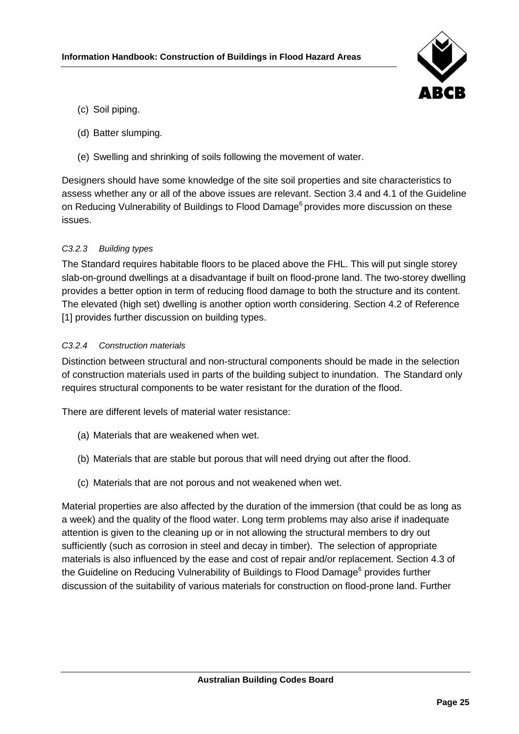

- (c) Soil piping.
- (d) Batter slumping.
- (e) Swelling and shrinking of soils following the movement of water.

Designers should have some knowledge of the site soil properties and site characteristics to assess whether any or all of the above issues are relevant. Section 3.4 and 4.1 of the Guideline on Reducing Vulnerability of Buildings to Flood Damage<sup>[6](#page-29-1)</sup> provides more discussion on these issues.

#### *C3.2.3 Building types*

The Standard requires habitable floors to be placed above the FHL. This will put single storey slab-on-ground dwellings at a disadvantage if built on flood-prone land. The two-storey dwelling provides a better option in term of reducing flood damage to both the structure and its content. The elevated (high set) dwelling is another option worth considering. Section 4.2 of Reference [1] provides further discussion on building types.

#### *C3.2.4 Construction materials*

Distinction between structural and non-structural components should be made in the selection of construction materials used in parts of the building subject to inundation. The Standard only requires structural components to be water resistant for the duration of the flood.

There are different levels of material water resistance:

- (a) Materials that are weakened when wet.
- (b) Materials that are stable but porous that will need drying out after the flood.
- (c) Materials that are not porous and not weakened when wet.

Material properties are also affected by the duration of the immersion (that could be as long as a week) and the quality of the flood water. Long term problems may also arise if inadequate attention is given to the cleaning up or in not allowing the structural members to dry out sufficiently (such as corrosion in steel and decay in timber). The selection of appropriate materials is also influenced by the ease and cost of repair and/or replacement. Section 4.3 of the Guideline on Reducing Vulnerability of Buildings to Flood Damage<sup>[6](#page-29-1)</sup> provides further discussion of the suitability of various materials for construction on flood-prone land. Further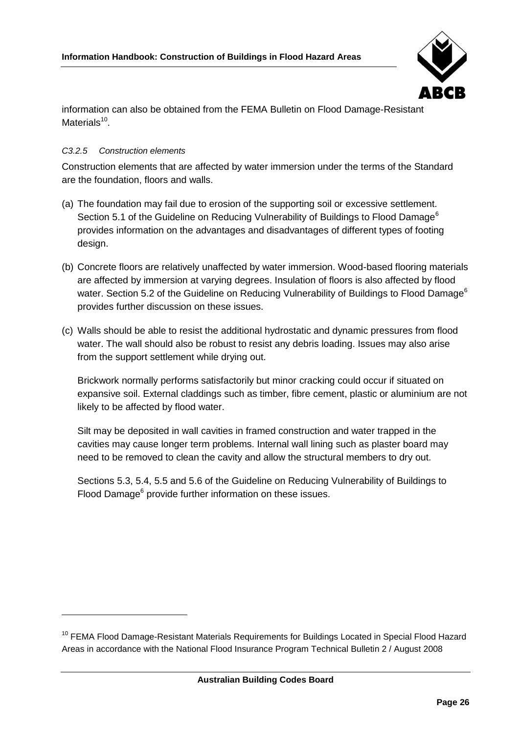

information can also be obtained from the FEMA Bulletin on Flood Damage-Resistant Materials<sup>10</sup>.

### *C3.2.5 Construction elements*

 $\overline{a}$ 

Construction elements that are affected by water immersion under the terms of the Standard are the foundation, floors and walls.

- (a) The foundation may fail due to erosion of the supporting soil or excessive settlement. S[e](#page-29-1)ction 5.1 of the Guideline on Reducing Vulnerability of Buildings to Flood Damage<sup>6</sup> provides information on the advantages and disadvantages of different types of footing design.
- (b) Concrete floors are relatively unaffected by water immersion. Wood-based flooring materials are affected by immersion at varying degrees. Insulation of floors is also affected by flood water. Section 5.2 of the Guideline on Reducing Vulnerability of Buildings to Flood Damage<sup>[6](#page-29-1)</sup> provides further discussion on these issues.
- (c) Walls should be able to resist the additional hydrostatic and dynamic pressures from flood water. The wall should also be robust to resist any debris loading. Issues may also arise from the support settlement while drying out.

Brickwork normally performs satisfactorily but minor cracking could occur if situated on expansive soil. External claddings such as timber, fibre cement, plastic or aluminium are not likely to be affected by flood water.

Silt may be deposited in wall cavities in framed construction and water trapped in the cavities may cause longer term problems. Internal wall lining such as plaster board may need to be removed to clean the cavity and allow the structural members to dry out.

Sections 5.3, 5.4, 5.5 and 5.6 of the Guideline on Reducing Vulnerability of Buildings to Flood Damag[e](#page-29-1)<sup>6</sup> provide further information on these issues.

<sup>&</sup>lt;sup>10</sup> FEMA Flood Damage-Resistant Materials Requirements for Buildings Located in Special Flood Hazard Areas in accordance with the National Flood Insurance Program Technical Bulletin 2 / August 2008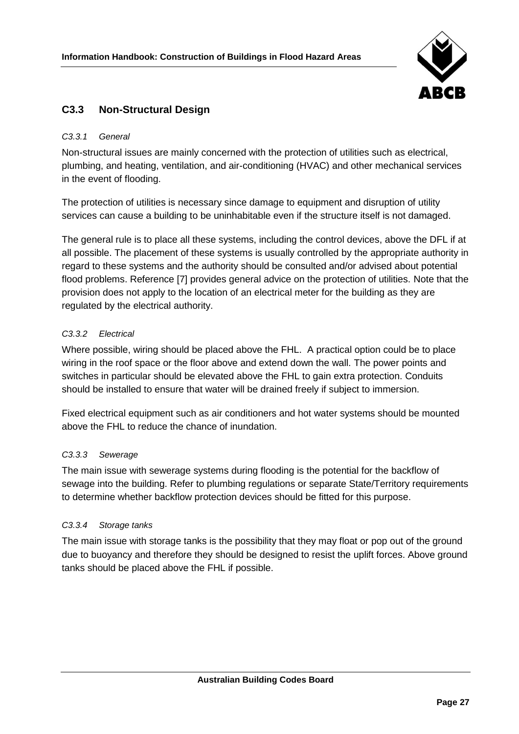

## <span id="page-34-0"></span>**C3.3 Non-Structural Design**

#### *C3.3.1 General*

Non-structural issues are mainly concerned with the protection of utilities such as electrical, plumbing, and heating, ventilation, and air-conditioning (HVAC) and other mechanical services in the event of flooding.

The protection of utilities is necessary since damage to equipment and disruption of utility services can cause a building to be uninhabitable even if the structure itself is not damaged.

The general rule is to place all these systems, including the control devices, above the DFL if at all possible. The placement of these systems is usually controlled by the appropriate authority in regard to these systems and the authority should be consulted and/or advised about potential flood problems. Reference [7] provides general advice on the protection of utilities. Note that the provision does not apply to the location of an electrical meter for the building as they are regulated by the electrical authority.

#### *C3.3.2 Electrical*

Where possible, wiring should be placed above the FHL. A practical option could be to place wiring in the roof space or the floor above and extend down the wall. The power points and switches in particular should be elevated above the FHL to gain extra protection. Conduits should be installed to ensure that water will be drained freely if subject to immersion.

Fixed electrical equipment such as air conditioners and hot water systems should be mounted above the FHL to reduce the chance of inundation.

#### *C3.3.3 Sewerage*

The main issue with sewerage systems during flooding is the potential for the backflow of sewage into the building. Refer to plumbing regulations or separate State/Territory requirements to determine whether backflow protection devices should be fitted for this purpose.

#### *C3.3.4 Storage tanks*

The main issue with storage tanks is the possibility that they may float or pop out of the ground due to buoyancy and therefore they should be designed to resist the uplift forces. Above ground tanks should be placed above the FHL if possible.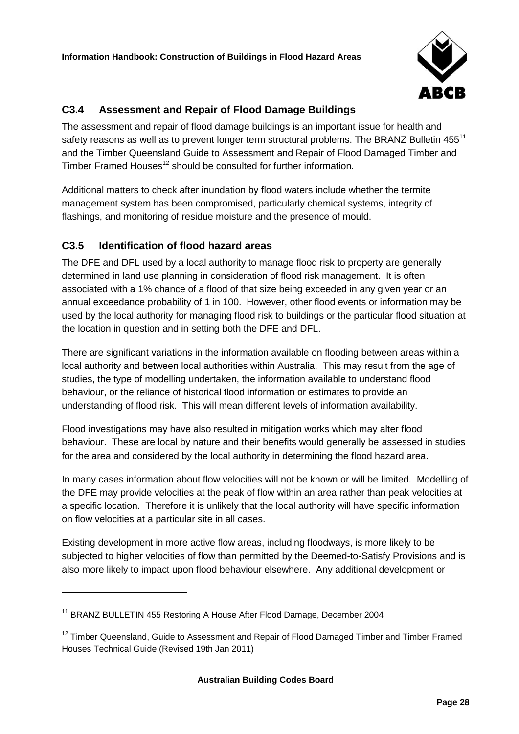

## <span id="page-35-0"></span>**C3.4 Assessment and Repair of Flood Damage Buildings**

The assessment and repair of flood damage buildings is an important issue for health and safety reasons as well as to prevent longer term structural problems. The BRANZ Bulletin 455<sup>11</sup> and the Timber Queensland Guide to Assessment and Repair of Flood Damaged Timber and Timber Framed Houses<sup>12</sup> should be consulted for further information.

Additional matters to check after inundation by flood waters include whether the termite management system has been compromised, particularly chemical systems, integrity of flashings, and monitoring of residue moisture and the presence of mould.

## <span id="page-35-1"></span>**C3.5 Identification of flood hazard areas**

The DFE and DFL used by a local authority to manage flood risk to property are generally determined in land use planning in consideration of flood risk management. It is often associated with a 1% chance of a flood of that size being exceeded in any given year or an annual exceedance probability of 1 in 100. However, other flood events or information may be used by the local authority for managing flood risk to buildings or the particular flood situation at the location in question and in setting both the DFE and DFL.

There are significant variations in the information available on flooding between areas within a local authority and between local authorities within Australia. This may result from the age of studies, the type of modelling undertaken, the information available to understand flood behaviour, or the reliance of historical flood information or estimates to provide an understanding of flood risk. This will mean different levels of information availability.

Flood investigations may have also resulted in mitigation works which may alter flood behaviour. These are local by nature and their benefits would generally be assessed in studies for the area and considered by the local authority in determining the flood hazard area.

In many cases information about flow velocities will not be known or will be limited. Modelling of the DFE may provide velocities at the peak of flow within an area rather than peak velocities at a specific location. Therefore it is unlikely that the local authority will have specific information on flow velocities at a particular site in all cases.

Existing development in more active flow areas, including floodways, is more likely to be subjected to higher velocities of flow than permitted by the Deemed-to-Satisfy Provisions and is also more likely to impact upon flood behaviour elsewhere. Any additional development or

 $\overline{a}$ 

<sup>&</sup>lt;sup>11</sup> BRANZ BULLETIN 455 Restoring A House After Flood Damage, December 2004

 $12$  Timber Queensland, Guide to Assessment and Repair of Flood Damaged Timber and Timber Framed Houses Technical Guide (Revised 19th Jan 2011)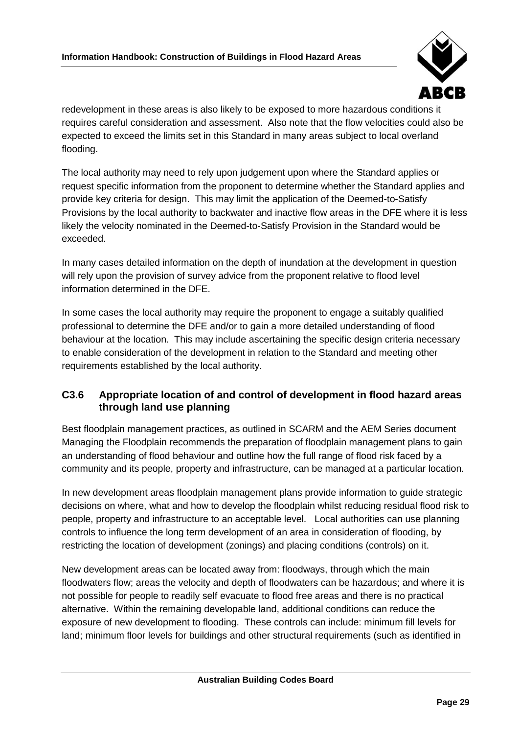

redevelopment in these areas is also likely to be exposed to more hazardous conditions it requires careful consideration and assessment. Also note that the flow velocities could also be expected to exceed the limits set in this Standard in many areas subject to local overland flooding.

The local authority may need to rely upon judgement upon where the Standard applies or request specific information from the proponent to determine whether the Standard applies and provide key criteria for design. This may limit the application of the Deemed-to-Satisfy Provisions by the local authority to backwater and inactive flow areas in the DFE where it is less likely the velocity nominated in the Deemed-to-Satisfy Provision in the Standard would be exceeded.

In many cases detailed information on the depth of inundation at the development in question will rely upon the provision of survey advice from the proponent relative to flood level information determined in the DFE.

In some cases the local authority may require the proponent to engage a suitably qualified professional to determine the DFE and/or to gain a more detailed understanding of flood behaviour at the location. This may include ascertaining the specific design criteria necessary to enable consideration of the development in relation to the Standard and meeting other requirements established by the local authority.

## <span id="page-36-0"></span>**C3.6 Appropriate location of and control of development in flood hazard areas through land use planning**

Best floodplain management practices, as outlined in SCARM and the AEM Series document Managing the Floodplain recommends the preparation of floodplain management plans to gain an understanding of flood behaviour and outline how the full range of flood risk faced by a community and its people, property and infrastructure, can be managed at a particular location.

In new development areas floodplain management plans provide information to guide strategic decisions on where, what and how to develop the floodplain whilst reducing residual flood risk to people, property and infrastructure to an acceptable level. Local authorities can use planning controls to influence the long term development of an area in consideration of flooding, by restricting the location of development (zonings) and placing conditions (controls) on it.

New development areas can be located away from: floodways, through which the main floodwaters flow; areas the velocity and depth of floodwaters can be hazardous; and where it is not possible for people to readily self evacuate to flood free areas and there is no practical alternative. Within the remaining developable land, additional conditions can reduce the exposure of new development to flooding. These controls can include: minimum fill levels for land; minimum floor levels for buildings and other structural requirements (such as identified in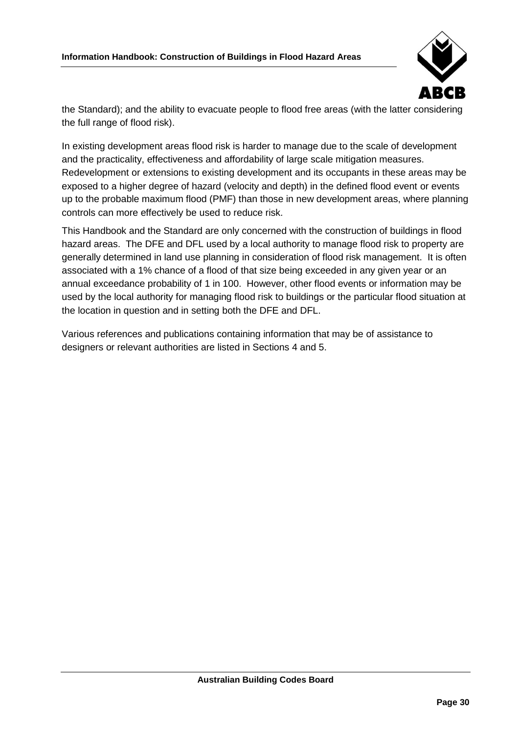

the Standard); and the ability to evacuate people to flood free areas (with the latter considering the full range of flood risk).

In existing development areas flood risk is harder to manage due to the scale of development and the practicality, effectiveness and affordability of large scale mitigation measures. Redevelopment or extensions to existing development and its occupants in these areas may be exposed to a higher degree of hazard (velocity and depth) in the defined flood event or events up to the probable maximum flood (PMF) than those in new development areas, where planning controls can more effectively be used to reduce risk.

This Handbook and the Standard are only concerned with the construction of buildings in flood hazard areas. The DFE and DFL used by a local authority to manage flood risk to property are generally determined in land use planning in consideration of flood risk management. It is often associated with a 1% chance of a flood of that size being exceeded in any given year or an annual exceedance probability of 1 in 100. However, other flood events or information may be used by the local authority for managing flood risk to buildings or the particular flood situation at the location in question and in setting both the DFE and DFL.

Various references and publications containing information that may be of assistance to designers or relevant authorities are listed in Sections 4 and 5.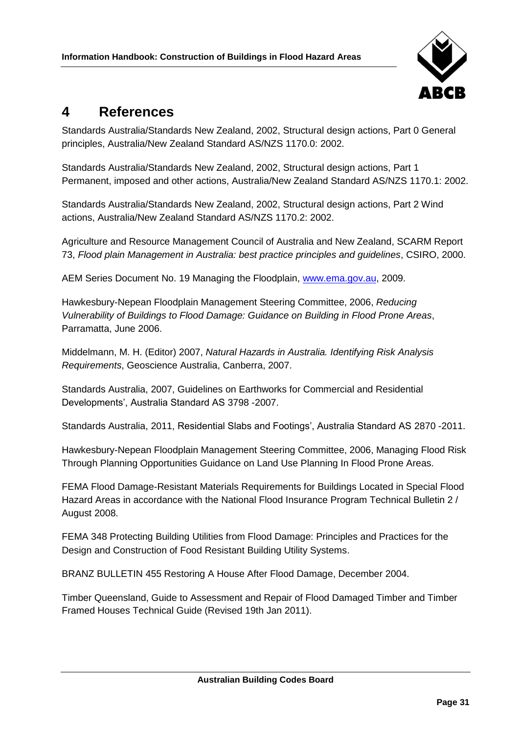

## <span id="page-38-0"></span>**4 References**

Standards Australia/Standards New Zealand, 2002, Structural design actions, Part 0 General principles, Australia/New Zealand Standard AS/NZS 1170.0: 2002.

Standards Australia/Standards New Zealand, 2002, Structural design actions, Part 1 Permanent, imposed and other actions, Australia/New Zealand Standard AS/NZS 1170.1: 2002.

Standards Australia/Standards New Zealand, 2002, Structural design actions, Part 2 Wind actions, Australia/New Zealand Standard AS/NZS 1170.2: 2002.

Agriculture and Resource Management Council of Australia and New Zealand, SCARM Report 73, *Flood plain Management in Australia: best practice principles and guidelines*, CSIRO, 2000.

AEM Series Document No. 19 Managing the Floodplain, [www.ema.gov.au,](http://www.ema.gov.au/) 2009.

Hawkesbury-Nepean Floodplain Management Steering Committee, 2006, *Reducing Vulnerability of Buildings to Flood Damage: Guidance on Building in Flood Prone Areas*, Parramatta, June 2006.

Middelmann, M. H. (Editor) 2007, *Natural Hazards in Australia. Identifying Risk Analysis Requirements*, Geoscience Australia, Canberra, 2007.

Standards Australia, 2007, Guidelines on Earthworks for Commercial and Residential Developments', Australia Standard AS 3798 -2007.

Standards Australia, 2011, Residential Slabs and Footings', Australia Standard AS 2870 -2011.

Hawkesbury-Nepean Floodplain Management Steering Committee, 2006, Managing Flood Risk Through Planning Opportunities Guidance on Land Use Planning In Flood Prone Areas.

FEMA Flood Damage-Resistant Materials Requirements for Buildings Located in Special Flood Hazard Areas in accordance with the National Flood Insurance Program Technical Bulletin 2 / August 2008.

FEMA 348 Protecting Building Utilities from Flood Damage: Principles and Practices for the Design and Construction of Food Resistant Building Utility Systems.

BRANZ BULLETIN 455 Restoring A House After Flood Damage, December 2004.

Timber Queensland, Guide to Assessment and Repair of Flood Damaged Timber and Timber Framed Houses Technical Guide (Revised 19th Jan 2011).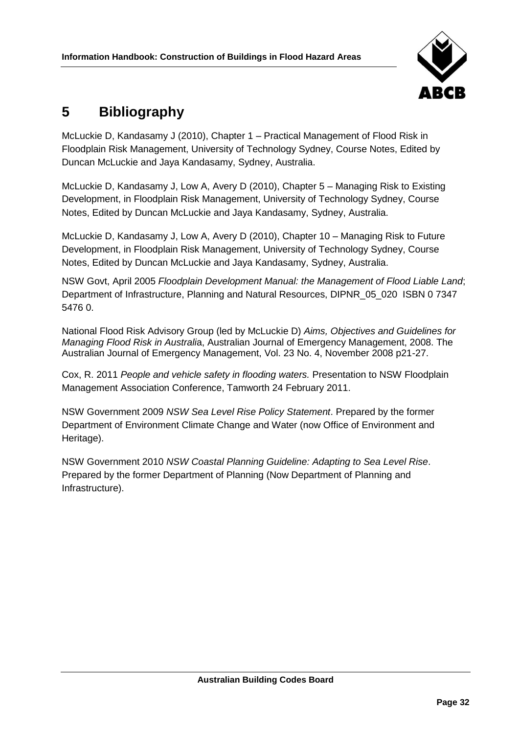

## <span id="page-39-0"></span>**5 Bibliography**

McLuckie D, Kandasamy J (2010), Chapter 1 – Practical Management of Flood Risk in Floodplain Risk Management, University of Technology Sydney, Course Notes, Edited by Duncan McLuckie and Jaya Kandasamy, Sydney, Australia.

McLuckie D, Kandasamy J, Low A, Avery D (2010), Chapter 5 – Managing Risk to Existing Development, in Floodplain Risk Management, University of Technology Sydney, Course Notes, Edited by Duncan McLuckie and Jaya Kandasamy, Sydney, Australia.

McLuckie D, Kandasamy J, Low A, Avery D (2010), Chapter 10 – Managing Risk to Future Development, in Floodplain Risk Management, University of Technology Sydney, Course Notes, Edited by Duncan McLuckie and Jaya Kandasamy, Sydney, Australia.

NSW Govt, April 2005 *Floodplain Development Manual: the Management of Flood Liable Land*; Department of Infrastructure, Planning and Natural Resources, DIPNR\_05\_020 ISBN 0 7347 5476 0.

National Flood Risk Advisory Group (led by McLuckie D) *Aims, Objectives and Guidelines for Managing Flood Risk in Australi*a, Australian Journal of Emergency Management, 2008. The Australian Journal of Emergency Management, Vol. 23 No. 4, November 2008 p21-27.

Cox, R. 2011 *People and vehicle safety in flooding waters.* Presentation to NSW Floodplain Management Association Conference, Tamworth 24 February 2011.

NSW Government 2009 *NSW Sea Level Rise Policy Statement*. Prepared by the former Department of Environment Climate Change and Water (now Office of Environment and Heritage).

NSW Government 2010 *NSW Coastal Planning Guideline: Adapting to Sea Level Rise*. Prepared by the former Department of Planning (Now Department of Planning and Infrastructure).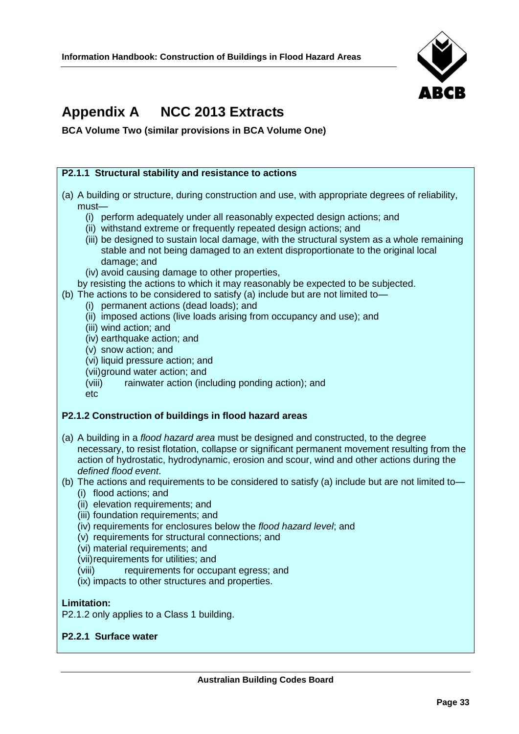

## <span id="page-40-0"></span>**Appendix A NCC 2013 Extracts**

**BCA Volume Two (similar provisions in BCA Volume One)**

#### **P2.1.1 Structural stability and resistance to actions**

- (a) A building or structure, during construction and use, with appropriate degrees of reliability, must—
	- (i) perform adequately under all reasonably expected design actions; and
	- (ii) withstand extreme or frequently repeated design actions; and
	- (iii) be designed to sustain local damage, with the structural system as a whole remaining stable and not being damaged to an extent disproportionate to the original local damage; and
	- (iv) avoid causing damage to other properties,
	- by resisting the actions to which it may reasonably be expected to be subjected.
- (b) The actions to be considered to satisfy (a) include but are not limited to—
	- (i) permanent actions (dead loads); and
	- (ii) imposed actions (live loads arising from occupancy and use); and
	- (iii) wind action; and
	- (iv) earthquake action; and
	- (v) snow action; and
	- (vi) liquid pressure action; and
	- (vii)ground water action; and
	- (viii) rainwater action (including ponding action); and

etc

#### **P2.1.2 Construction of buildings in flood hazard areas**

- (a) A building in a *flood hazard area* must be designed and constructed, to the degree necessary, to resist flotation, collapse or significant permanent movement resulting from the action of hydrostatic, hydrodynamic, erosion and scour, wind and other actions during the *defined flood event*.
- (b) The actions and requirements to be considered to satisfy (a) include but are not limited to—
	- (i) flood actions; and
	- (ii) elevation requirements; and
	- (iii) foundation requirements; and
	- (iv) requirements for enclosures below the *flood hazard level*; and
	- (v) requirements for structural connections; and
	- (vi) material requirements; and
	- (vii)requirements for utilities; and
	- (viii) requirements for occupant egress; and
	- (ix) impacts to other structures and properties.

#### **Limitation:**

P2.1.2 only applies to a Class 1 building.

#### **P2.2.1 Surface water**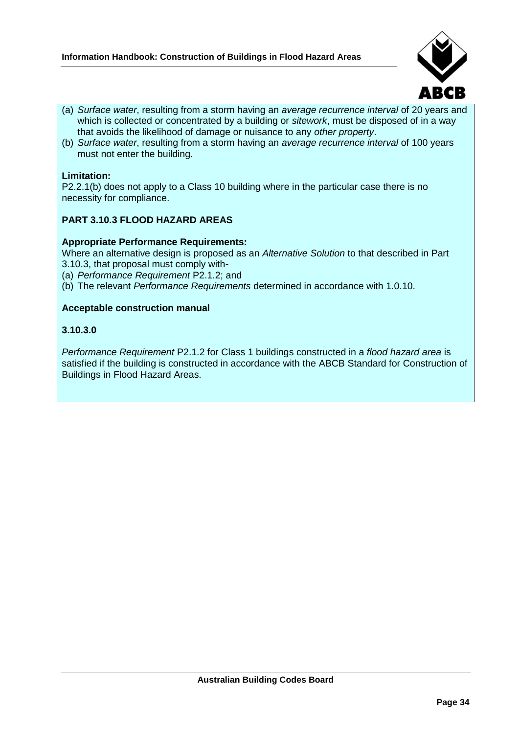

- (a) *Surface water*, resulting from a storm having an *average recurrence interval* of 20 years and which is collected or concentrated by a building or *sitework*, must be disposed of in a way that avoids the likelihood of damage or nuisance to any *other property*.
- (b) *Surface water*, resulting from a storm having an *average recurrence interval* of 100 years must not enter the building.

#### **Limitation:**

P2.2.1(b) does not apply to a Class 10 building where in the particular case there is no necessity for compliance.

#### **PART 3.10.3 FLOOD HAZARD AREAS**

#### **Appropriate Performance Requirements:**

Where an alternative design is proposed as an *Alternative Solution* to that described in Part 3.10.3, that proposal must comply with-

- (a) *Performance Requirement* P2.1.2; and
- (b) The relevant *Performance Requirements* determined in accordance with 1.0.10.

#### **Acceptable construction manual**

#### **3.10.3.0**

*Performance Requirement* P2.1.2 for Class 1 buildings constructed in a *flood hazard area* is satisfied if the building is constructed in accordance with the ABCB Standard for Construction of Buildings in Flood Hazard Areas.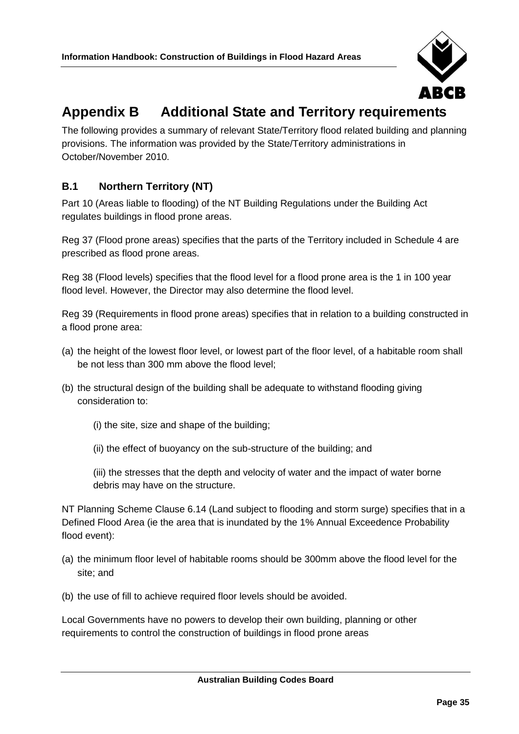

## <span id="page-42-0"></span>**Appendix B Additional State and Territory requirements**

The following provides a summary of relevant State/Territory flood related building and planning provisions. The information was provided by the State/Territory administrations in October/November 2010.

## <span id="page-42-1"></span>**B.1 Northern Territory (NT)**

Part 10 (Areas liable to flooding) of the NT Building Regulations under the Building Act regulates buildings in flood prone areas.

Reg 37 (Flood prone areas) specifies that the parts of the Territory included in Schedule 4 are prescribed as flood prone areas.

Reg 38 (Flood levels) specifies that the flood level for a flood prone area is the 1 in 100 year flood level. However, the Director may also determine the flood level.

Reg 39 (Requirements in flood prone areas) specifies that in relation to a building constructed in a flood prone area:

- (a) the height of the lowest floor level, or lowest part of the floor level, of a habitable room shall be not less than 300 mm above the flood level;
- (b) the structural design of the building shall be adequate to withstand flooding giving consideration to:
	- (i) the site, size and shape of the building;
	- (ii) the effect of buoyancy on the sub-structure of the building; and

(iii) the stresses that the depth and velocity of water and the impact of water borne debris may have on the structure.

NT Planning Scheme Clause 6.14 (Land subject to flooding and storm surge) specifies that in a Defined Flood Area (ie the area that is inundated by the 1% Annual Exceedence Probability flood event):

- (a) the minimum floor level of habitable rooms should be 300mm above the flood level for the site; and
- (b) the use of fill to achieve required floor levels should be avoided.

Local Governments have no powers to develop their own building, planning or other requirements to control the construction of buildings in flood prone areas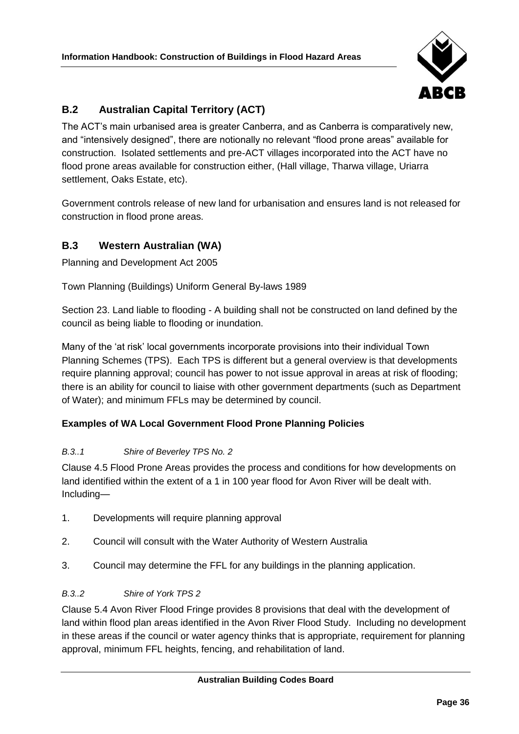

## <span id="page-43-0"></span>**B.2 Australian Capital Territory (ACT)**

The ACT's main urbanised area is greater Canberra, and as Canberra is comparatively new, and "intensively designed", there are notionally no relevant "flood prone areas" available for construction. Isolated settlements and pre-ACT villages incorporated into the ACT have no flood prone areas available for construction either, (Hall village, Tharwa village, Uriarra settlement, Oaks Estate, etc).

Government controls release of new land for urbanisation and ensures land is not released for construction in flood prone areas.

## <span id="page-43-1"></span>**B.3 Western Australian (WA)**

Planning and Development Act 2005

Town Planning (Buildings) Uniform General By-laws 1989

Section 23. Land liable to flooding - A building shall not be constructed on land defined by the council as being liable to flooding or inundation.

Many of the 'at risk' local governments incorporate provisions into their individual Town Planning Schemes (TPS). Each TPS is different but a general overview is that developments require planning approval; council has power to not issue approval in areas at risk of flooding; there is an ability for council to liaise with other government departments (such as Department of Water); and minimum FFLs may be determined by council.

## **Examples of WA Local Government Flood Prone Planning Policies**

#### *B.3..1 Shire of Beverley TPS No. 2*

Clause 4.5 Flood Prone Areas provides the process and conditions for how developments on land identified within the extent of a 1 in 100 year flood for Avon River will be dealt with. Including—

- 1. Developments will require planning approval
- 2. Council will consult with the Water Authority of Western Australia
- 3. Council may determine the FFL for any buildings in the planning application.

#### *B.3..2 Shire of York TPS 2*

Clause 5.4 Avon River Flood Fringe provides 8 provisions that deal with the development of land within flood plan areas identified in the Avon River Flood Study. Including no development in these areas if the council or water agency thinks that is appropriate, requirement for planning approval, minimum FFL heights, fencing, and rehabilitation of land.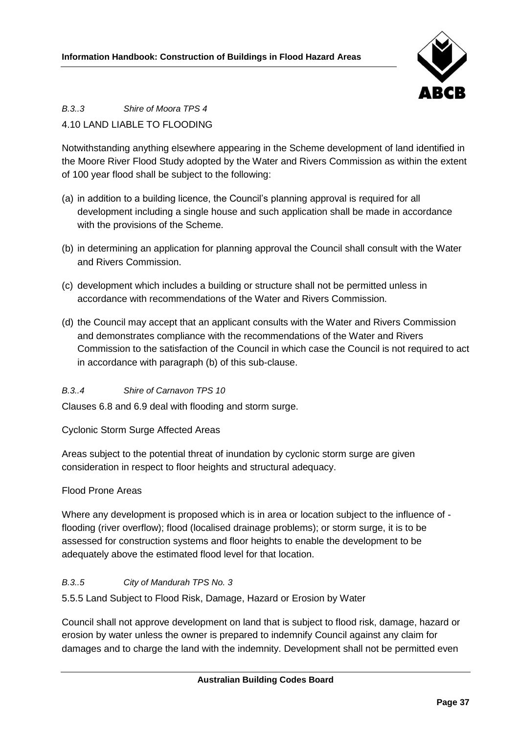

## *B.3..3 Shire of Moora TPS 4*

## 4.10 LAND LIABLE TO FLOODING

Notwithstanding anything elsewhere appearing in the Scheme development of land identified in the Moore River Flood Study adopted by the Water and Rivers Commission as within the extent of 100 year flood shall be subject to the following:

- (a) in addition to a building licence, the Council's planning approval is required for all development including a single house and such application shall be made in accordance with the provisions of the Scheme.
- (b) in determining an application for planning approval the Council shall consult with the Water and Rivers Commission.
- (c) development which includes a building or structure shall not be permitted unless in accordance with recommendations of the Water and Rivers Commission.
- (d) the Council may accept that an applicant consults with the Water and Rivers Commission and demonstrates compliance with the recommendations of the Water and Rivers Commission to the satisfaction of the Council in which case the Council is not required to act in accordance with paragraph (b) of this sub-clause.

## *B.3..4 Shire of Carnavon TPS 10*

Clauses 6.8 and 6.9 deal with flooding and storm surge.

Cyclonic Storm Surge Affected Areas

Areas subject to the potential threat of inundation by cyclonic storm surge are given consideration in respect to floor heights and structural adequacy.

## Flood Prone Areas

Where any development is proposed which is in area or location subject to the influence of flooding (river overflow); flood (localised drainage problems); or storm surge, it is to be assessed for construction systems and floor heights to enable the development to be adequately above the estimated flood level for that location.

#### *B.3..5 City of Mandurah TPS No. 3*

5.5.5 Land Subject to Flood Risk, Damage, Hazard or Erosion by Water

Council shall not approve development on land that is subject to flood risk, damage, hazard or erosion by water unless the owner is prepared to indemnify Council against any claim for damages and to charge the land with the indemnity. Development shall not be permitted even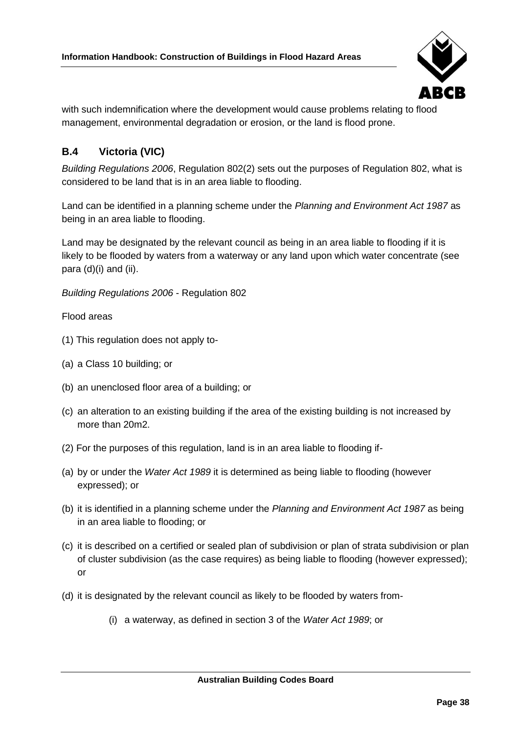

with such indemnification where the development would cause problems relating to flood management, environmental degradation or erosion, or the land is flood prone.

## <span id="page-45-0"></span>**B.4 Victoria (VIC)**

*Building Regulations 2006*, Regulation 802(2) sets out the purposes of Regulation 802, what is considered to be land that is in an area liable to flooding.

Land can be identified in a planning scheme under the *Planning and Environment Act 1987* as being in an area liable to flooding.

Land may be designated by the relevant council as being in an area liable to flooding if it is likely to be flooded by waters from a waterway or any land upon which water concentrate (see para (d)(i) and (ii).

*Building Regulations 2006* - Regulation 802

Flood areas

- (1) This regulation does not apply to-
- (a) a Class 10 building; or
- (b) an unenclosed floor area of a building; or
- (c) an alteration to an existing building if the area of the existing building is not increased by more than 20m2.
- (2) For the purposes of this regulation, land is in an area liable to flooding if-
- (a) by or under the *Water Act 1989* it is determined as being liable to flooding (however expressed); or
- (b) it is identified in a planning scheme under the *Planning and Environment Act 1987* as being in an area liable to flooding; or
- (c) it is described on a certified or sealed plan of subdivision or plan of strata subdivision or plan of cluster subdivision (as the case requires) as being liable to flooding (however expressed); or
- (d) it is designated by the relevant council as likely to be flooded by waters from-
	- (i) a waterway, as defined in section 3 of the *Water Act 1989*; or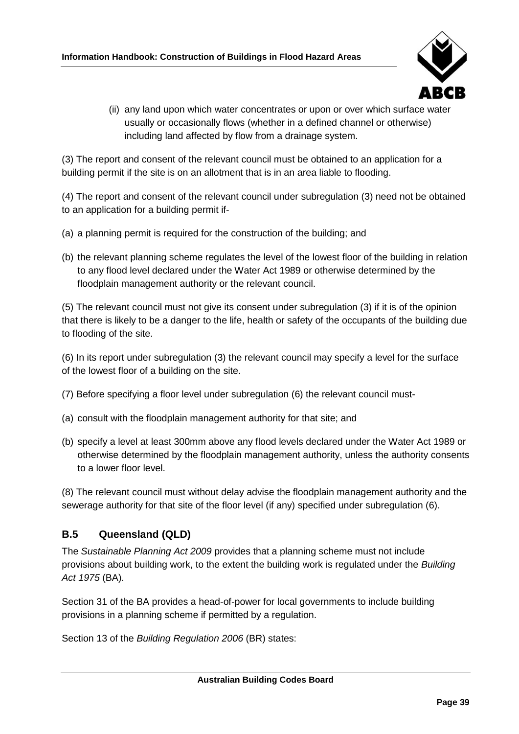

(ii) any land upon which water concentrates or upon or over which surface water usually or occasionally flows (whether in a defined channel or otherwise) including land affected by flow from a drainage system.

(3) The report and consent of the relevant council must be obtained to an application for a building permit if the site is on an allotment that is in an area liable to flooding.

(4) The report and consent of the relevant council under subregulation (3) need not be obtained to an application for a building permit if-

- (a) a planning permit is required for the construction of the building; and
- (b) the relevant planning scheme regulates the level of the lowest floor of the building in relation to any flood level declared under the Water Act 1989 or otherwise determined by the floodplain management authority or the relevant council.

(5) The relevant council must not give its consent under subregulation (3) if it is of the opinion that there is likely to be a danger to the life, health or safety of the occupants of the building due to flooding of the site.

(6) In its report under subregulation (3) the relevant council may specify a level for the surface of the lowest floor of a building on the site.

- (7) Before specifying a floor level under subregulation (6) the relevant council must-
- (a) consult with the floodplain management authority for that site; and
- (b) specify a level at least 300mm above any flood levels declared under the Water Act 1989 or otherwise determined by the floodplain management authority, unless the authority consents to a lower floor level.

(8) The relevant council must without delay advise the floodplain management authority and the sewerage authority for that site of the floor level (if any) specified under subregulation (6).

## <span id="page-46-0"></span>**B.5 Queensland (QLD)**

The *Sustainable Planning Act 2009* provides that a planning scheme must not include provisions about building work, to the extent the building work is regulated under the *Building Act 1975* (BA).

Section 31 of the BA provides a head-of-power for local governments to include building provisions in a planning scheme if permitted by a regulation.

Section 13 of the *Building Regulation 2006* (BR) states: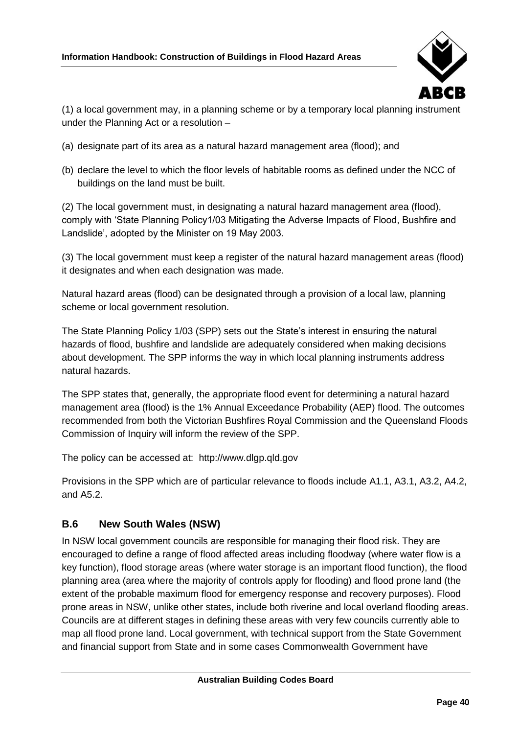

(1) a local government may, in a planning scheme or by a temporary local planning instrument under the Planning Act or a resolution –

- (a) designate part of its area as a natural hazard management area (flood); and
- (b) declare the level to which the floor levels of habitable rooms as defined under the NCC of buildings on the land must be built.

(2) The local government must, in designating a natural hazard management area (flood), comply with 'State Planning Policy1/03 Mitigating the Adverse Impacts of Flood, Bushfire and Landslide', adopted by the Minister on 19 May 2003.

(3) The local government must keep a register of the natural hazard management areas (flood) it designates and when each designation was made.

Natural hazard areas (flood) can be designated through a provision of a local law, planning scheme or local government resolution.

The State Planning Policy 1/03 (SPP) sets out the State's interest in ensuring the natural hazards of flood, bushfire and landslide are adequately considered when making decisions about development. The SPP informs the way in which local planning instruments address natural hazards.

The SPP states that, generally, the appropriate flood event for determining a natural hazard management area (flood) is the 1% Annual Exceedance Probability (AEP) flood. The outcomes recommended from both the Victorian Bushfires Royal Commission and the Queensland Floods Commission of Inquiry will inform the review of the SPP.

The policy can be accessed at: http://www.dlgp.qld.gov

Provisions in the SPP which are of particular relevance to floods include A1.1, A3.1, A3.2, A4.2, and A5.2.

## <span id="page-47-0"></span>**B.6 New South Wales (NSW)**

In NSW local government councils are responsible for managing their flood risk. They are encouraged to define a range of flood affected areas including floodway (where water flow is a key function), flood storage areas (where water storage is an important flood function), the flood planning area (area where the majority of controls apply for flooding) and flood prone land (the extent of the probable maximum flood for emergency response and recovery purposes). Flood prone areas in NSW, unlike other states, include both riverine and local overland flooding areas. Councils are at different stages in defining these areas with very few councils currently able to map all flood prone land. Local government, with technical support from the State Government and financial support from State and in some cases Commonwealth Government have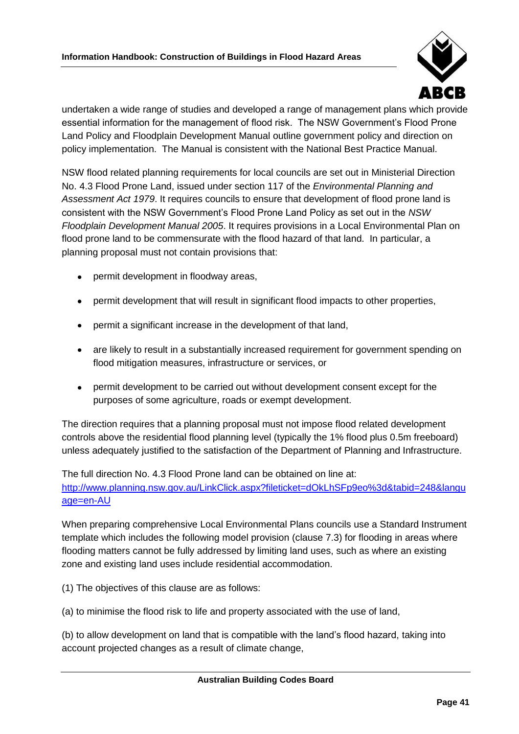

undertaken a wide range of studies and developed a range of management plans which provide essential information for the management of flood risk. The NSW Government's Flood Prone Land Policy and Floodplain Development Manual outline government policy and direction on policy implementation. The Manual is consistent with the National Best Practice Manual.

NSW flood related planning requirements for local councils are set out in Ministerial Direction No. 4.3 Flood Prone Land, issued under section 117 of the *Environmental Planning and Assessment Act 1979*. It requires councils to ensure that development of flood prone land is consistent with the NSW Government's Flood Prone Land Policy as set out in the *NSW Floodplain Development Manual 2005*. It requires provisions in a Local Environmental Plan on flood prone land to be commensurate with the flood hazard of that land. In particular, a planning proposal must not contain provisions that:

- permit development in floodway areas,
- permit development that will result in significant flood impacts to other properties,
- permit a significant increase in the development of that land,
- are likely to result in a substantially increased requirement for government spending on flood mitigation measures, infrastructure or services, or
- permit development to be carried out without development consent except for the  $\bullet$ purposes of some agriculture, roads or exempt development.

The direction requires that a planning proposal must not impose flood related development controls above the residential flood planning level (typically the 1% flood plus 0.5m freeboard) unless adequately justified to the satisfaction of the Department of Planning and Infrastructure.

The full direction No. 4.3 Flood Prone land can be obtained on line at: [http://www.planning.nsw.gov.au/LinkClick.aspx?fileticket=dOkLhSFp9eo%3d&tabid=248&langu](http://www.planning.nsw.gov.au/LinkClick.aspx?fileticket=dOkLhSFp9eo%3d&tabid=248&language=en-AU) [age=en-AU](http://www.planning.nsw.gov.au/LinkClick.aspx?fileticket=dOkLhSFp9eo%3d&tabid=248&language=en-AU)

When preparing comprehensive Local Environmental Plans councils use a Standard Instrument template which includes the following model provision (clause 7.3) for flooding in areas where flooding matters cannot be fully addressed by limiting land uses, such as where an existing zone and existing land uses include residential accommodation.

(1) The objectives of this clause are as follows:

(a) to minimise the flood risk to life and property associated with the use of land,

(b) to allow development on land that is compatible with the land's flood hazard, taking into account projected changes as a result of climate change,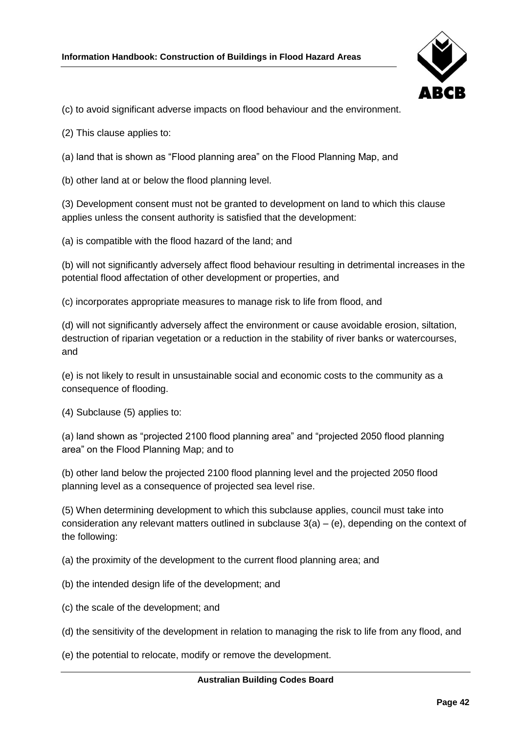

(c) to avoid significant adverse impacts on flood behaviour and the environment.

- (2) This clause applies to:
- (a) land that is shown as "Flood planning area" on the Flood Planning Map, and
- (b) other land at or below the flood planning level.

(3) Development consent must not be granted to development on land to which this clause applies unless the consent authority is satisfied that the development:

(a) is compatible with the flood hazard of the land; and

(b) will not significantly adversely affect flood behaviour resulting in detrimental increases in the potential flood affectation of other development or properties, and

(c) incorporates appropriate measures to manage risk to life from flood, and

(d) will not significantly adversely affect the environment or cause avoidable erosion, siltation, destruction of riparian vegetation or a reduction in the stability of river banks or watercourses, and

(e) is not likely to result in unsustainable social and economic costs to the community as a consequence of flooding.

(4) Subclause (5) applies to:

(a) land shown as "projected 2100 flood planning area" and "projected 2050 flood planning area" on the Flood Planning Map; and to

(b) other land below the projected 2100 flood planning level and the projected 2050 flood planning level as a consequence of projected sea level rise.

(5) When determining development to which this subclause applies, council must take into consideration any relevant matters outlined in subclause  $3(a) - (e)$ , depending on the context of the following:

(a) the proximity of the development to the current flood planning area; and

- (b) the intended design life of the development; and
- (c) the scale of the development; and
- (d) the sensitivity of the development in relation to managing the risk to life from any flood, and
- (e) the potential to relocate, modify or remove the development.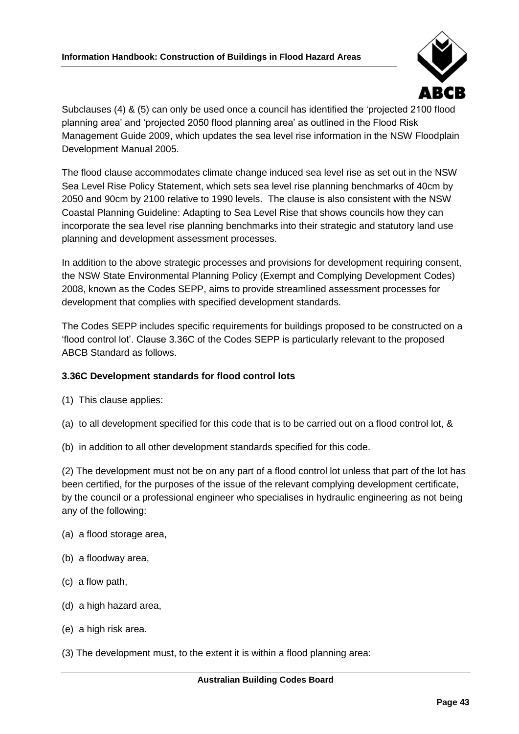

Subclauses (4) & (5) can only be used once a council has identified the 'projected 2100 flood planning area' and 'projected 2050 flood planning area' as outlined in the Flood Risk Management Guide 2009, which updates the sea level rise information in the NSW Floodplain Development Manual 2005.

The flood clause accommodates climate change induced sea level rise as set out in the NSW Sea Level Rise Policy Statement, which sets sea level rise planning benchmarks of 40cm by 2050 and 90cm by 2100 relative to 1990 levels. The clause is also consistent with the NSW Coastal Planning Guideline: Adapting to Sea Level Rise that shows councils how they can incorporate the sea level rise planning benchmarks into their strategic and statutory land use planning and development assessment processes.

In addition to the above strategic processes and provisions for development requiring consent, the NSW State Environmental Planning Policy (Exempt and Complying Development Codes) 2008, known as the Codes SEPP, aims to provide streamlined assessment processes for development that complies with specified development standards.

The Codes SEPP includes specific requirements for buildings proposed to be constructed on a 'flood control lot'. Clause 3.36C of the Codes SEPP is particularly relevant to the proposed ABCB Standard as follows.

## **3.36C Development standards for flood control lots**

- (1) This clause applies:
- (a) to all development specified for this code that is to be carried out on a flood control lot, &
- (b) in addition to all other development standards specified for this code.

(2) The development must not be on any part of a flood control lot unless that part of the lot has been certified, for the purposes of the issue of the relevant complying development certificate, by the council or a professional engineer who specialises in hydraulic engineering as not being any of the following:

- (a) a flood storage area,
- (b) a floodway area,
- (c) a flow path,
- (d) a high hazard area,
- (e) a high risk area.
- (3) The development must, to the extent it is within a flood planning area: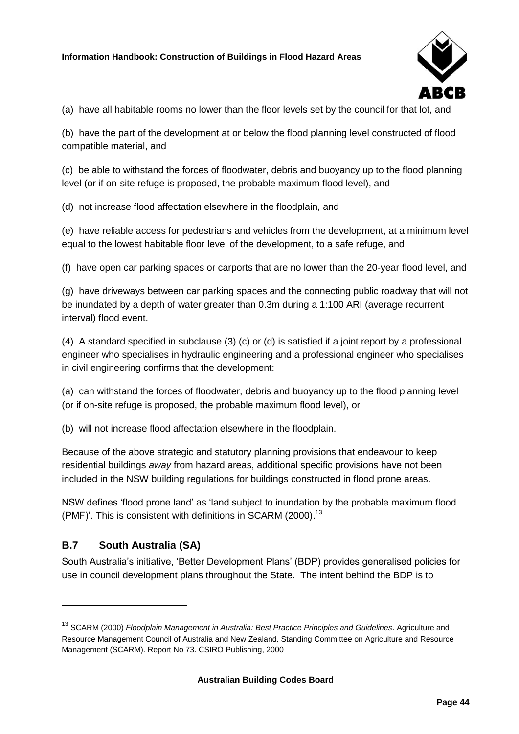

(a) have all habitable rooms no lower than the floor levels set by the council for that lot, and

(b) have the part of the development at or below the flood planning level constructed of flood compatible material, and

(c) be able to withstand the forces of floodwater, debris and buoyancy up to the flood planning level (or if on-site refuge is proposed, the probable maximum flood level), and

(d) not increase flood affectation elsewhere in the floodplain, and

(e) have reliable access for pedestrians and vehicles from the development, at a minimum level equal to the lowest habitable floor level of the development, to a safe refuge, and

(f) have open car parking spaces or carports that are no lower than the 20-year flood level, and

(g) have driveways between car parking spaces and the connecting public roadway that will not be inundated by a depth of water greater than 0.3m during a 1:100 ARI (average recurrent interval) flood event.

(4) A standard specified in subclause (3) (c) or (d) is satisfied if a joint report by a professional engineer who specialises in hydraulic engineering and a professional engineer who specialises in civil engineering confirms that the development:

(a) can withstand the forces of floodwater, debris and buoyancy up to the flood planning level (or if on-site refuge is proposed, the probable maximum flood level), or

(b) will not increase flood affectation elsewhere in the floodplain.

Because of the above strategic and statutory planning provisions that endeavour to keep residential buildings *away* from hazard areas, additional specific provisions have not been included in the NSW building regulations for buildings constructed in flood prone areas.

NSW defines 'flood prone land' as 'land subject to inundation by the probable maximum flood (PMF)'. This is consistent with definitions in SCARM (2000).<sup>13</sup>

## <span id="page-51-0"></span>**B.7 South Australia (SA)**

South Australia's initiative, 'Better Development Plans' (BDP) provides generalised policies for use in council development plans throughout the State. The intent behind the BDP is to

<sup>13</sup> SCARM (2000) *Floodplain Management in Australia: Best Practice Principles and Guidelines*. Agriculture and Resource Management Council of Australia and New Zealand, Standing Committee on Agriculture and Resource Management (SCARM). Report No 73. CSIRO Publishing, 2000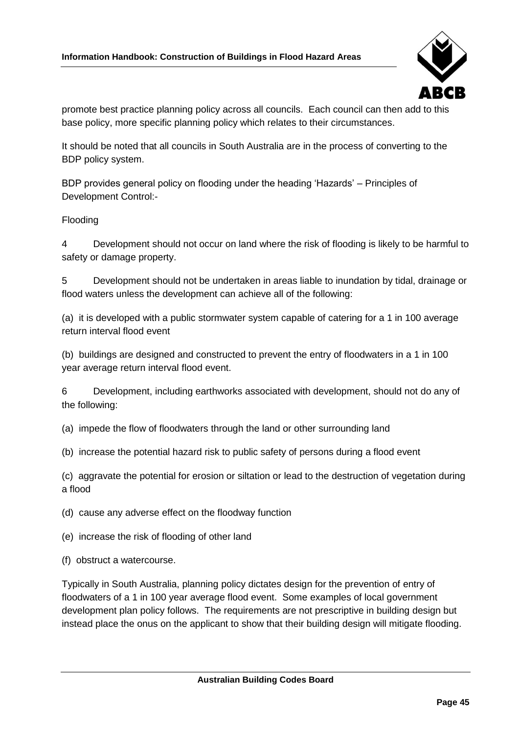

promote best practice planning policy across all councils. Each council can then add to this base policy, more specific planning policy which relates to their circumstances.

It should be noted that all councils in South Australia are in the process of converting to the BDP policy system.

BDP provides general policy on flooding under the heading 'Hazards' – Principles of Development Control:-

#### Flooding

4 Development should not occur on land where the risk of flooding is likely to be harmful to safety or damage property.

5 Development should not be undertaken in areas liable to inundation by tidal, drainage or flood waters unless the development can achieve all of the following:

(a) it is developed with a public stormwater system capable of catering for a 1 in 100 average return interval flood event

(b) buildings are designed and constructed to prevent the entry of floodwaters in a 1 in 100 year average return interval flood event.

6 Development, including earthworks associated with development, should not do any of the following:

(a) impede the flow of floodwaters through the land or other surrounding land

(b) increase the potential hazard risk to public safety of persons during a flood event

(c) aggravate the potential for erosion or siltation or lead to the destruction of vegetation during a flood

(d) cause any adverse effect on the floodway function

(e) increase the risk of flooding of other land

(f) obstruct a watercourse.

Typically in South Australia, planning policy dictates design for the prevention of entry of floodwaters of a 1 in 100 year average flood event. Some examples of local government development plan policy follows. The requirements are not prescriptive in building design but instead place the onus on the applicant to show that their building design will mitigate flooding.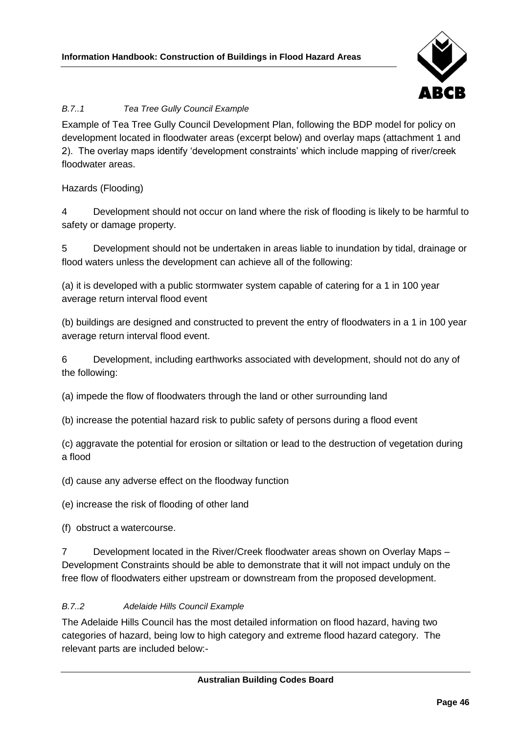

## *B.7..1 Tea Tree Gully Council Example*

Example of Tea Tree Gully Council Development Plan, following the BDP model for policy on development located in floodwater areas (excerpt below) and overlay maps (attachment 1 and 2). The overlay maps identify 'development constraints' which include mapping of river/creek floodwater areas.

Hazards (Flooding)

4 Development should not occur on land where the risk of flooding is likely to be harmful to safety or damage property.

5 Development should not be undertaken in areas liable to inundation by tidal, drainage or flood waters unless the development can achieve all of the following:

(a) it is developed with a public stormwater system capable of catering for a 1 in 100 year average return interval flood event

(b) buildings are designed and constructed to prevent the entry of floodwaters in a 1 in 100 year average return interval flood event.

6 Development, including earthworks associated with development, should not do any of the following:

(a) impede the flow of floodwaters through the land or other surrounding land

(b) increase the potential hazard risk to public safety of persons during a flood event

(c) aggravate the potential for erosion or siltation or lead to the destruction of vegetation during a flood

(d) cause any adverse effect on the floodway function

(e) increase the risk of flooding of other land

(f) obstruct a watercourse.

7 Development located in the River/Creek floodwater areas shown on Overlay Maps – Development Constraints should be able to demonstrate that it will not impact unduly on the free flow of floodwaters either upstream or downstream from the proposed development.

#### *B.7..2 Adelaide Hills Council Example*

The Adelaide Hills Council has the most detailed information on flood hazard, having two categories of hazard, being low to high category and extreme flood hazard category. The relevant parts are included below:-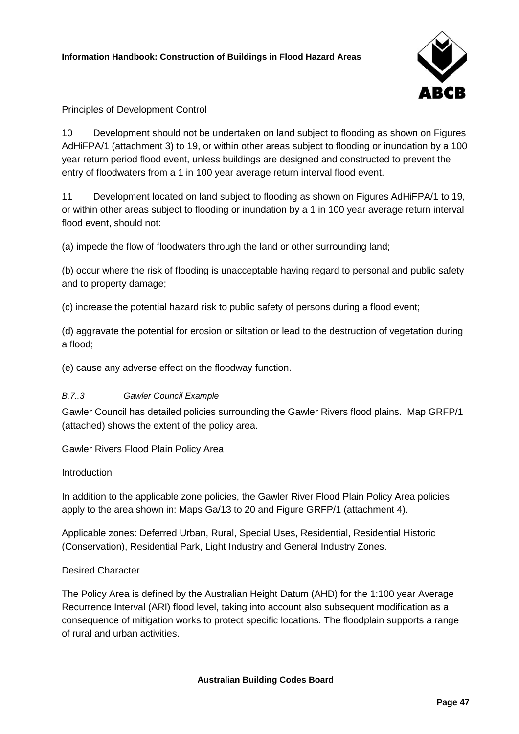

### Principles of Development Control

10 Development should not be undertaken on land subject to flooding as shown on Figures AdHiFPA/1 (attachment 3) to 19, or within other areas subject to flooding or inundation by a 100 year return period flood event, unless buildings are designed and constructed to prevent the entry of floodwaters from a 1 in 100 year average return interval flood event.

11 Development located on land subject to flooding as shown on Figures AdHiFPA/1 to 19, or within other areas subject to flooding or inundation by a 1 in 100 year average return interval flood event, should not:

(a) impede the flow of floodwaters through the land or other surrounding land;

(b) occur where the risk of flooding is unacceptable having regard to personal and public safety and to property damage;

(c) increase the potential hazard risk to public safety of persons during a flood event;

(d) aggravate the potential for erosion or siltation or lead to the destruction of vegetation during a flood;

(e) cause any adverse effect on the floodway function.

#### *B.7..3 Gawler Council Example*

Gawler Council has detailed policies surrounding the Gawler Rivers flood plains. Map GRFP/1 (attached) shows the extent of the policy area.

Gawler Rivers Flood Plain Policy Area

#### Introduction

In addition to the applicable zone policies, the Gawler River Flood Plain Policy Area policies apply to the area shown in: Maps Ga/13 to 20 and Figure GRFP/1 (attachment 4).

Applicable zones: Deferred Urban, Rural, Special Uses, Residential, Residential Historic (Conservation), Residential Park, Light Industry and General Industry Zones.

#### Desired Character

The Policy Area is defined by the Australian Height Datum (AHD) for the 1:100 year Average Recurrence Interval (ARI) flood level, taking into account also subsequent modification as a consequence of mitigation works to protect specific locations. The floodplain supports a range of rural and urban activities.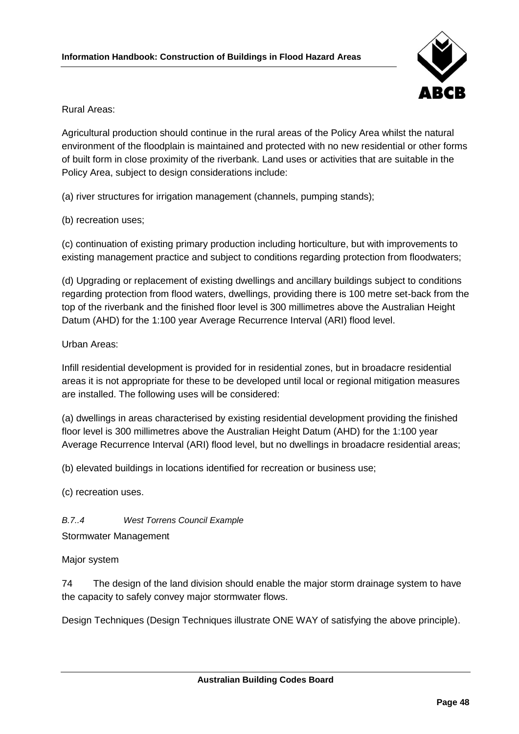

Rural Areas:

Agricultural production should continue in the rural areas of the Policy Area whilst the natural environment of the floodplain is maintained and protected with no new residential or other forms of built form in close proximity of the riverbank. Land uses or activities that are suitable in the Policy Area, subject to design considerations include:

(a) river structures for irrigation management (channels, pumping stands);

(b) recreation uses;

(c) continuation of existing primary production including horticulture, but with improvements to existing management practice and subject to conditions regarding protection from floodwaters;

(d) Upgrading or replacement of existing dwellings and ancillary buildings subject to conditions regarding protection from flood waters, dwellings, providing there is 100 metre set-back from the top of the riverbank and the finished floor level is 300 millimetres above the Australian Height Datum (AHD) for the 1:100 year Average Recurrence Interval (ARI) flood level.

#### Urban Areas:

Infill residential development is provided for in residential zones, but in broadacre residential areas it is not appropriate for these to be developed until local or regional mitigation measures are installed. The following uses will be considered:

(a) dwellings in areas characterised by existing residential development providing the finished floor level is 300 millimetres above the Australian Height Datum (AHD) for the 1:100 year Average Recurrence Interval (ARI) flood level, but no dwellings in broadacre residential areas;

(b) elevated buildings in locations identified for recreation or business use;

(c) recreation uses.

*B.7..4 West Torrens Council Example*

Stormwater Management

Major system

74 The design of the land division should enable the major storm drainage system to have the capacity to safely convey major stormwater flows.

Design Techniques (Design Techniques illustrate ONE WAY of satisfying the above principle).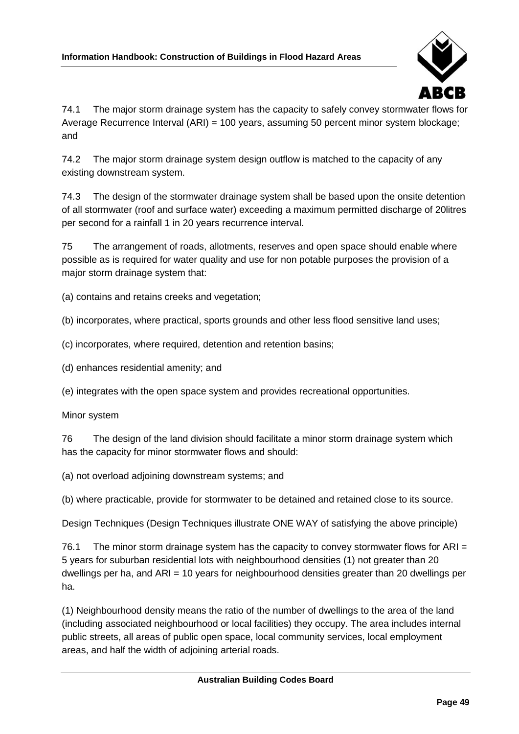

74.1 The major storm drainage system has the capacity to safely convey stormwater flows for Average Recurrence Interval (ARI) = 100 years, assuming 50 percent minor system blockage; and

74.2 The major storm drainage system design outflow is matched to the capacity of any existing downstream system.

74.3 The design of the stormwater drainage system shall be based upon the onsite detention of all stormwater (roof and surface water) exceeding a maximum permitted discharge of 20litres per second for a rainfall 1 in 20 years recurrence interval.

75 The arrangement of roads, allotments, reserves and open space should enable where possible as is required for water quality and use for non potable purposes the provision of a major storm drainage system that:

(a) contains and retains creeks and vegetation;

(b) incorporates, where practical, sports grounds and other less flood sensitive land uses;

(c) incorporates, where required, detention and retention basins;

(d) enhances residential amenity; and

(e) integrates with the open space system and provides recreational opportunities.

Minor system

76 The design of the land division should facilitate a minor storm drainage system which has the capacity for minor stormwater flows and should:

(a) not overload adjoining downstream systems; and

(b) where practicable, provide for stormwater to be detained and retained close to its source.

Design Techniques (Design Techniques illustrate ONE WAY of satisfying the above principle)

76.1 The minor storm drainage system has the capacity to convey stormwater flows for ARI = 5 years for suburban residential lots with neighbourhood densities (1) not greater than 20 dwellings per ha, and ARI = 10 years for neighbourhood densities greater than 20 dwellings per ha.

(1) Neighbourhood density means the ratio of the number of dwellings to the area of the land (including associated neighbourhood or local facilities) they occupy. The area includes internal public streets, all areas of public open space, local community services, local employment areas, and half the width of adjoining arterial roads.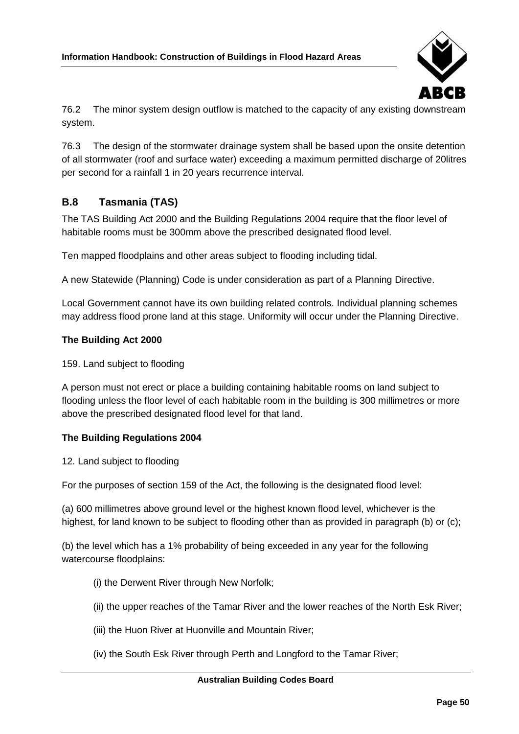

76.2 The minor system design outflow is matched to the capacity of any existing downstream system.

76.3 The design of the stormwater drainage system shall be based upon the onsite detention of all stormwater (roof and surface water) exceeding a maximum permitted discharge of 20litres per second for a rainfall 1 in 20 years recurrence interval.

## <span id="page-57-0"></span>**B.8 Tasmania (TAS)**

The TAS Building Act 2000 and the Building Regulations 2004 require that the floor level of habitable rooms must be 300mm above the prescribed designated flood level.

Ten mapped floodplains and other areas subject to flooding including tidal.

A new Statewide (Planning) Code is under consideration as part of a Planning Directive.

Local Government cannot have its own building related controls. Individual planning schemes may address flood prone land at this stage. Uniformity will occur under the Planning Directive.

#### **The Building Act 2000**

159. Land subject to flooding

A person must not erect or place a building containing habitable rooms on land subject to flooding unless the floor level of each habitable room in the building is 300 millimetres or more above the prescribed designated flood level for that land.

#### **The Building Regulations 2004**

12. Land subject to flooding

For the purposes of section 159 of the Act, the following is the designated flood level:

(a) 600 millimetres above ground level or the highest known flood level, whichever is the highest, for land known to be subject to flooding other than as provided in paragraph (b) or (c);

(b) the level which has a 1% probability of being exceeded in any year for the following watercourse floodplains:

- (i) the Derwent River through New Norfolk;
- (ii) the upper reaches of the Tamar River and the lower reaches of the North Esk River;
- (iii) the Huon River at Huonville and Mountain River;
- (iv) the South Esk River through Perth and Longford to the Tamar River;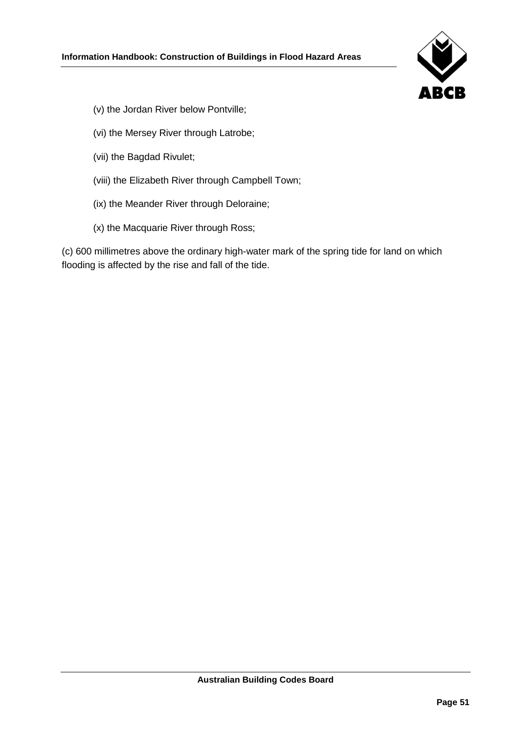

- (v) the Jordan River below Pontville;
- (vi) the Mersey River through Latrobe;
- (vii) the Bagdad Rivulet;
- (viii) the Elizabeth River through Campbell Town;
- (ix) the Meander River through Deloraine;
- (x) the Macquarie River through Ross;

(c) 600 millimetres above the ordinary high-water mark of the spring tide for land on which flooding is affected by the rise and fall of the tide.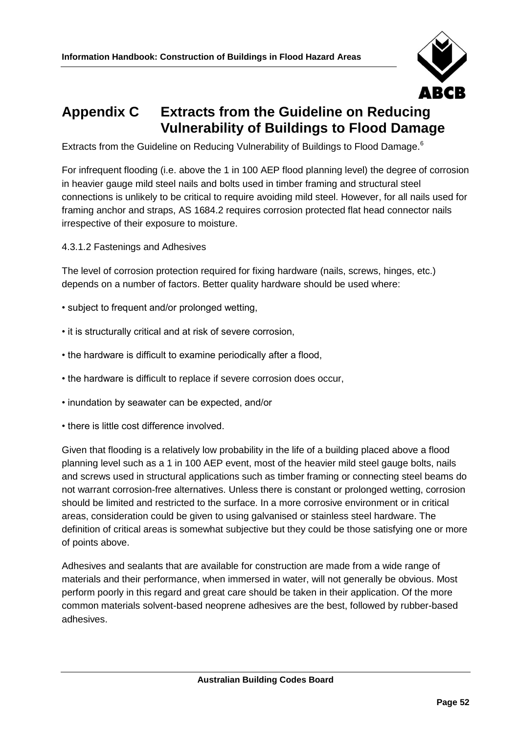

## <span id="page-59-0"></span>**Appendix C Extracts from the Guideline on Reducing Vulnerability of Buildings to Flood Damage**

Extracts from the Guideline on Reducing Vulnerability of Buildings to Flood Damage.<sup>[6](#page-29-1)</sup>

For infrequent flooding (i.e. above the 1 in 100 AEP flood planning level) the degree of corrosion in heavier gauge mild steel nails and bolts used in timber framing and structural steel connections is unlikely to be critical to require avoiding mild steel. However, for all nails used for framing anchor and straps, AS 1684.2 requires corrosion protected flat head connector nails irrespective of their exposure to moisture.

4.3.1.2 Fastenings and Adhesives

The level of corrosion protection required for fixing hardware (nails, screws, hinges, etc.) depends on a number of factors. Better quality hardware should be used where:

- subject to frequent and/or prolonged wetting,
- it is structurally critical and at risk of severe corrosion,
- the hardware is difficult to examine periodically after a flood,
- the hardware is difficult to replace if severe corrosion does occur,
- inundation by seawater can be expected, and/or
- there is little cost difference involved.

Given that flooding is a relatively low probability in the life of a building placed above a flood planning level such as a 1 in 100 AEP event, most of the heavier mild steel gauge bolts, nails and screws used in structural applications such as timber framing or connecting steel beams do not warrant corrosion-free alternatives. Unless there is constant or prolonged wetting, corrosion should be limited and restricted to the surface. In a more corrosive environment or in critical areas, consideration could be given to using galvanised or stainless steel hardware. The definition of critical areas is somewhat subjective but they could be those satisfying one or more of points above.

Adhesives and sealants that are available for construction are made from a wide range of materials and their performance, when immersed in water, will not generally be obvious. Most perform poorly in this regard and great care should be taken in their application. Of the more common materials solvent-based neoprene adhesives are the best, followed by rubber-based adhesives.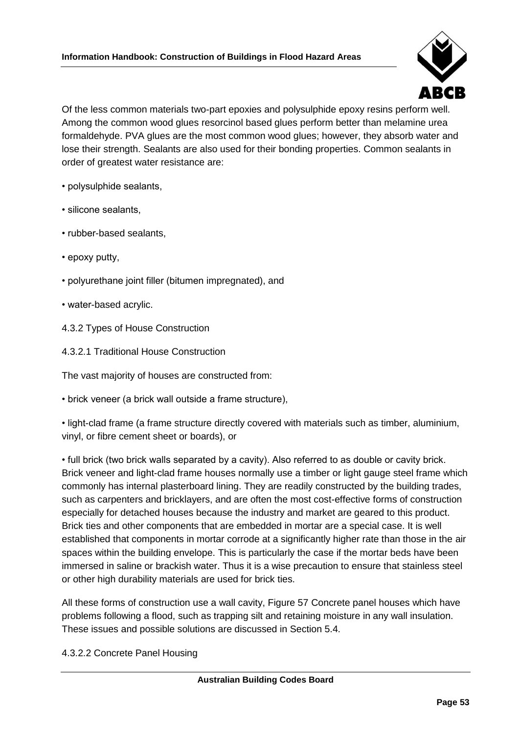

Of the less common materials two-part epoxies and polysulphide epoxy resins perform well. Among the common wood glues resorcinol based glues perform better than melamine urea formaldehyde. PVA glues are the most common wood glues; however, they absorb water and lose their strength. Sealants are also used for their bonding properties. Common sealants in order of greatest water resistance are:

- polysulphide sealants,
- silicone sealants,
- rubber-based sealants,
- epoxy putty,
- polyurethane joint filler (bitumen impregnated), and
- water-based acrylic.
- 4.3.2 Types of House Construction
- 4.3.2.1 Traditional House Construction

The vast majority of houses are constructed from:

• brick veneer (a brick wall outside a frame structure),

• light-clad frame (a frame structure directly covered with materials such as timber, aluminium, vinyl, or fibre cement sheet or boards), or

• full brick (two brick walls separated by a cavity). Also referred to as double or cavity brick. Brick veneer and light-clad frame houses normally use a timber or light gauge steel frame which commonly has internal plasterboard lining. They are readily constructed by the building trades, such as carpenters and bricklayers, and are often the most cost-effective forms of construction especially for detached houses because the industry and market are geared to this product. Brick ties and other components that are embedded in mortar are a special case. It is well established that components in mortar corrode at a significantly higher rate than those in the air spaces within the building envelope. This is particularly the case if the mortar beds have been immersed in saline or brackish water. Thus it is a wise precaution to ensure that stainless steel or other high durability materials are used for brick ties.

All these forms of construction use a wall cavity, Figure 57 Concrete panel houses which have problems following a flood, such as trapping silt and retaining moisture in any wall insulation. These issues and possible solutions are discussed in Section 5.4.

4.3.2.2 Concrete Panel Housing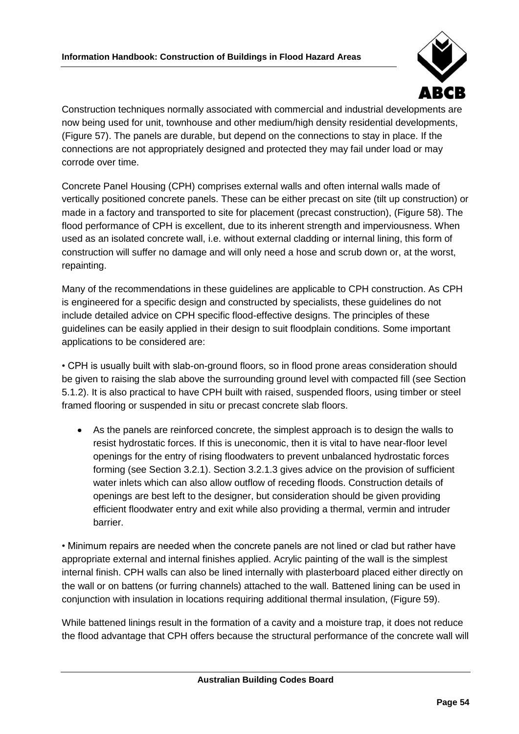

Construction techniques normally associated with commercial and industrial developments are now being used for unit, townhouse and other medium/high density residential developments, (Figure 57). The panels are durable, but depend on the connections to stay in place. If the connections are not appropriately designed and protected they may fail under load or may corrode over time.

Concrete Panel Housing (CPH) comprises external walls and often internal walls made of vertically positioned concrete panels. These can be either precast on site (tilt up construction) or made in a factory and transported to site for placement (precast construction), (Figure 58). The flood performance of CPH is excellent, due to its inherent strength and imperviousness. When used as an isolated concrete wall, i.e. without external cladding or internal lining, this form of construction will suffer no damage and will only need a hose and scrub down or, at the worst, repainting.

Many of the recommendations in these guidelines are applicable to CPH construction. As CPH is engineered for a specific design and constructed by specialists, these guidelines do not include detailed advice on CPH specific flood-effective designs. The principles of these guidelines can be easily applied in their design to suit floodplain conditions. Some important applications to be considered are:

• CPH is usually built with slab-on-ground floors, so in flood prone areas consideration should be given to raising the slab above the surrounding ground level with compacted fill (see Section 5.1.2). It is also practical to have CPH built with raised, suspended floors, using timber or steel framed flooring or suspended in situ or precast concrete slab floors.

As the panels are reinforced concrete, the simplest approach is to design the walls to resist hydrostatic forces. If this is uneconomic, then it is vital to have near-floor level openings for the entry of rising floodwaters to prevent unbalanced hydrostatic forces forming (see Section 3.2.1). Section 3.2.1.3 gives advice on the provision of sufficient water inlets which can also allow outflow of receding floods. Construction details of openings are best left to the designer, but consideration should be given providing efficient floodwater entry and exit while also providing a thermal, vermin and intruder barrier.

• Minimum repairs are needed when the concrete panels are not lined or clad but rather have appropriate external and internal finishes applied. Acrylic painting of the wall is the simplest internal finish. CPH walls can also be lined internally with plasterboard placed either directly on the wall or on battens (or furring channels) attached to the wall. Battened lining can be used in conjunction with insulation in locations requiring additional thermal insulation, (Figure 59).

While battened linings result in the formation of a cavity and a moisture trap, it does not reduce the flood advantage that CPH offers because the structural performance of the concrete wall will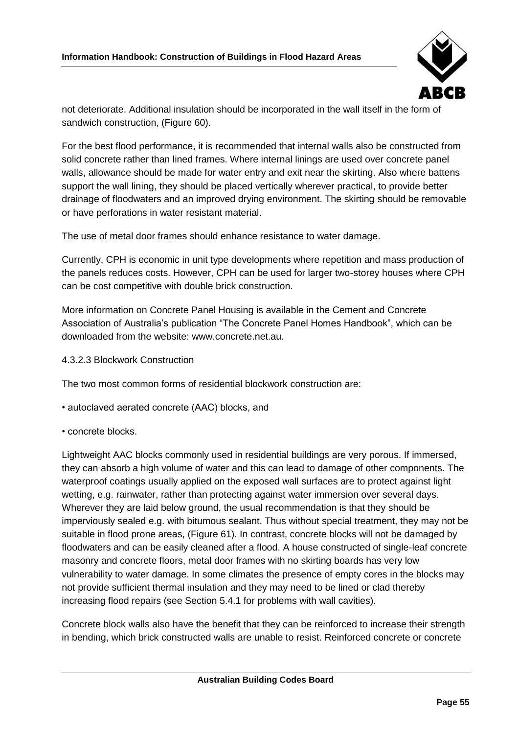

not deteriorate. Additional insulation should be incorporated in the wall itself in the form of sandwich construction, (Figure 60).

For the best flood performance, it is recommended that internal walls also be constructed from solid concrete rather than lined frames. Where internal linings are used over concrete panel walls, allowance should be made for water entry and exit near the skirting. Also where battens support the wall lining, they should be placed vertically wherever practical, to provide better drainage of floodwaters and an improved drying environment. The skirting should be removable or have perforations in water resistant material.

The use of metal door frames should enhance resistance to water damage.

Currently, CPH is economic in unit type developments where repetition and mass production of the panels reduces costs. However, CPH can be used for larger two-storey houses where CPH can be cost competitive with double brick construction.

More information on Concrete Panel Housing is available in the Cement and Concrete Association of Australia's publication "The Concrete Panel Homes Handbook", which can be downloaded from the website: www.concrete.net.au.

4.3.2.3 Blockwork Construction

The two most common forms of residential blockwork construction are:

- autoclaved aerated concrete (AAC) blocks, and
- concrete blocks.

Lightweight AAC blocks commonly used in residential buildings are very porous. If immersed, they can absorb a high volume of water and this can lead to damage of other components. The waterproof coatings usually applied on the exposed wall surfaces are to protect against light wetting, e.g. rainwater, rather than protecting against water immersion over several days. Wherever they are laid below ground, the usual recommendation is that they should be imperviously sealed e.g. with bitumous sealant. Thus without special treatment, they may not be suitable in flood prone areas, (Figure 61). In contrast, concrete blocks will not be damaged by floodwaters and can be easily cleaned after a flood. A house constructed of single-leaf concrete masonry and concrete floors, metal door frames with no skirting boards has very low vulnerability to water damage. In some climates the presence of empty cores in the blocks may not provide sufficient thermal insulation and they may need to be lined or clad thereby increasing flood repairs (see Section 5.4.1 for problems with wall cavities).

Concrete block walls also have the benefit that they can be reinforced to increase their strength in bending, which brick constructed walls are unable to resist. Reinforced concrete or concrete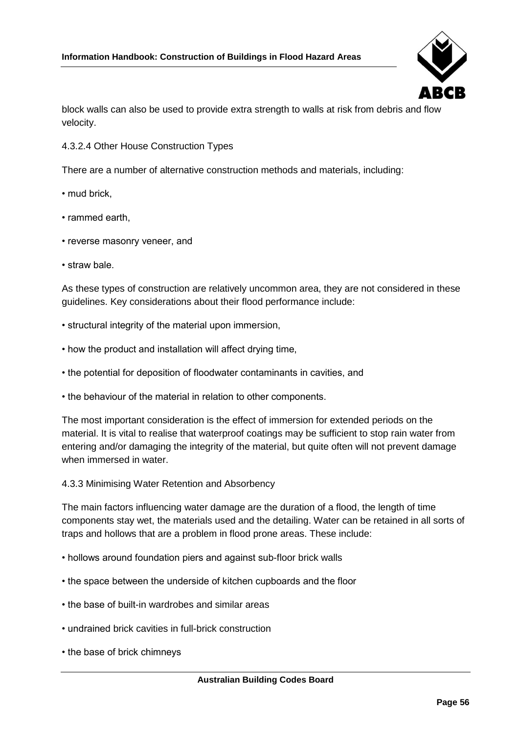

block walls can also be used to provide extra strength to walls at risk from debris and flow velocity.

4.3.2.4 Other House Construction Types

There are a number of alternative construction methods and materials, including:

- mud brick,
- rammed earth,
- reverse masonry veneer, and
- straw bale.

As these types of construction are relatively uncommon area, they are not considered in these guidelines. Key considerations about their flood performance include:

- structural integrity of the material upon immersion,
- how the product and installation will affect drying time,
- the potential for deposition of floodwater contaminants in cavities, and
- the behaviour of the material in relation to other components.

The most important consideration is the effect of immersion for extended periods on the material. It is vital to realise that waterproof coatings may be sufficient to stop rain water from entering and/or damaging the integrity of the material, but quite often will not prevent damage when immersed in water.

#### 4.3.3 Minimising Water Retention and Absorbency

The main factors influencing water damage are the duration of a flood, the length of time components stay wet, the materials used and the detailing. Water can be retained in all sorts of traps and hollows that are a problem in flood prone areas. These include:

- hollows around foundation piers and against sub-floor brick walls
- the space between the underside of kitchen cupboards and the floor
- the base of built-in wardrobes and similar areas
- undrained brick cavities in full-brick construction
- the base of brick chimneys